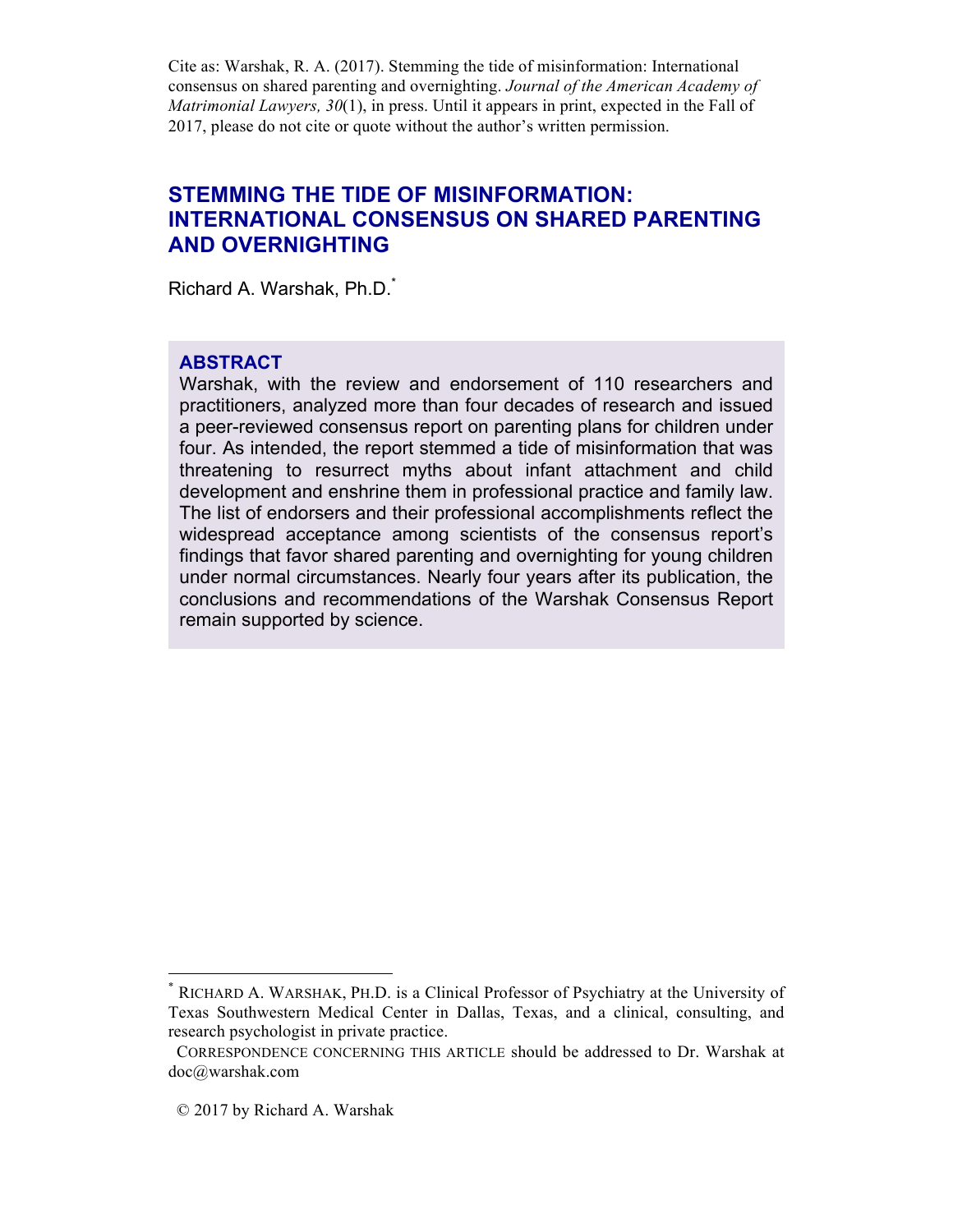Cite as: Warshak, R. A. (2017). Stemming the tide of misinformation: International consensus on shared parenting and overnighting. *Journal of the American Academy of Matrimonial Lawyers, 30*(1), in press. Until it appears in print, expected in the Fall of 2017, please do not cite or quote without the author's written permission.

# **STEMMING THE TIDE OF MISINFORMATION: INTERNATIONAL CONSENSUS ON SHARED PARENTING AND OVERNIGHTING**

Richard A. Warshak, Ph.D.\*

### **ABSTRACT**

Warshak, with the review and endorsement of 110 researchers and practitioners, analyzed more than four decades of research and issued a peer-reviewed consensus report on parenting plans for children under four. As intended, the report stemmed a tide of misinformation that was threatening to resurrect myths about infant attachment and child development and enshrine them in professional practice and family law. The list of endorsers and their professional accomplishments reflect the widespread acceptance among scientists of the consensus report's findings that favor shared parenting and overnighting for young children under normal circumstances. Nearly four years after its publication, the conclusions and recommendations of the Warshak Consensus Report remain supported by science.

 <sup>\*</sup> RICHARD A. WARSHAK, PH.D. is a Clinical Professor of Psychiatry at the University of Texas Southwestern Medical Center in Dallas, Texas, and a clinical, consulting, and research psychologist in private practice.

CORRESPONDENCE CONCERNING THIS ARTICLE should be addressed to Dr. Warshak at doc@warshak.com

 <sup>© 2017</sup> by Richard A. Warshak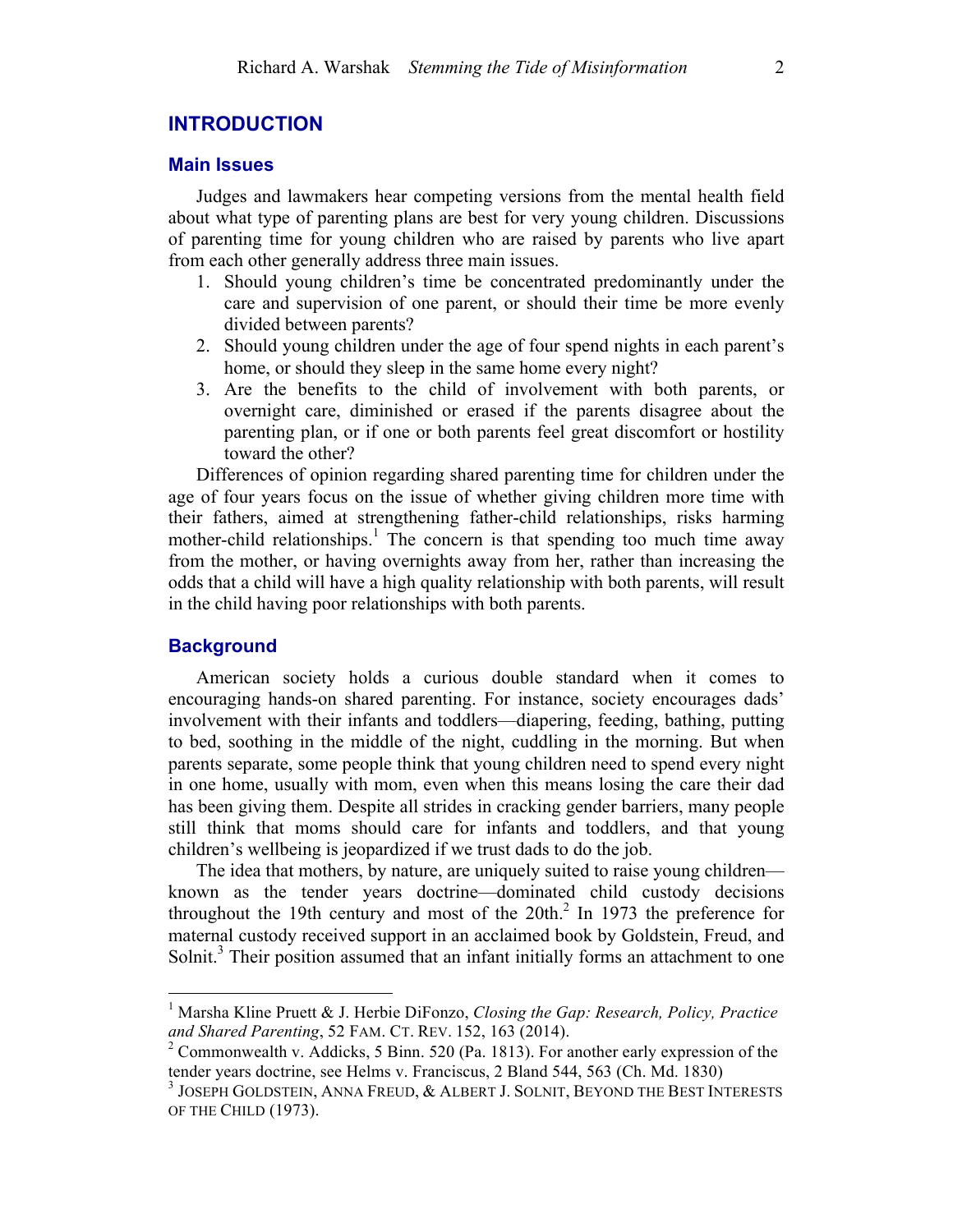### **INTRODUCTION**

#### **Main Issues**

Judges and lawmakers hear competing versions from the mental health field about what type of parenting plans are best for very young children. Discussions of parenting time for young children who are raised by parents who live apart from each other generally address three main issues.

- 1. Should young children's time be concentrated predominantly under the care and supervision of one parent, or should their time be more evenly divided between parents?
- 2. Should young children under the age of four spend nights in each parent's home, or should they sleep in the same home every night?
- 3. Are the benefits to the child of involvement with both parents, or overnight care, diminished or erased if the parents disagree about the parenting plan, or if one or both parents feel great discomfort or hostility toward the other?

Differences of opinion regarding shared parenting time for children under the age of four years focus on the issue of whether giving children more time with their fathers, aimed at strengthening father-child relationships, risks harming mother-child relationships.<sup>1</sup> The concern is that spending too much time away from the mother, or having overnights away from her, rather than increasing the odds that a child will have a high quality relationship with both parents, will result in the child having poor relationships with both parents.

#### **Background**

American society holds a curious double standard when it comes to encouraging hands-on shared parenting. For instance, society encourages dads' involvement with their infants and toddlers—diapering, feeding, bathing, putting to bed, soothing in the middle of the night, cuddling in the morning. But when parents separate, some people think that young children need to spend every night in one home, usually with mom, even when this means losing the care their dad has been giving them. Despite all strides in cracking gender barriers, many people still think that moms should care for infants and toddlers, and that young children's wellbeing is jeopardized if we trust dads to do the job.

The idea that mothers, by nature, are uniquely suited to raise young children known as the tender years doctrine—dominated child custody decisions throughout the 19th century and most of the  $20th$ <sup>2</sup> In 1973 the preference for maternal custody received support in an acclaimed book by Goldstein, Freud, and Solnit.<sup>3</sup> Their position assumed that an infant initially forms an attachment to one

 $\frac{1}{1}$  Marsha Kline Pruett & J. Herbie DiFonzo, *Closing the Gap: Research, Policy, Practice and Shared Parenting*, 52 FAM. CT. REV. 152, 163 (2014).

<sup>&</sup>lt;sup>2</sup> Commonwealth v. Addicks, 5 Binn. 520 (Pa. 1813). For another early expression of the tender years doctrine, see Helms v. Franciscus, 2 Bland 544, 563 (Ch. Md. 1830)

 $3$  JOSEPH GOLDSTEIN, ANNA FREUD,  $\&$  ALBERT J. SOLNIT, BEYOND THE BEST INTERESTS OF THE CHILD (1973).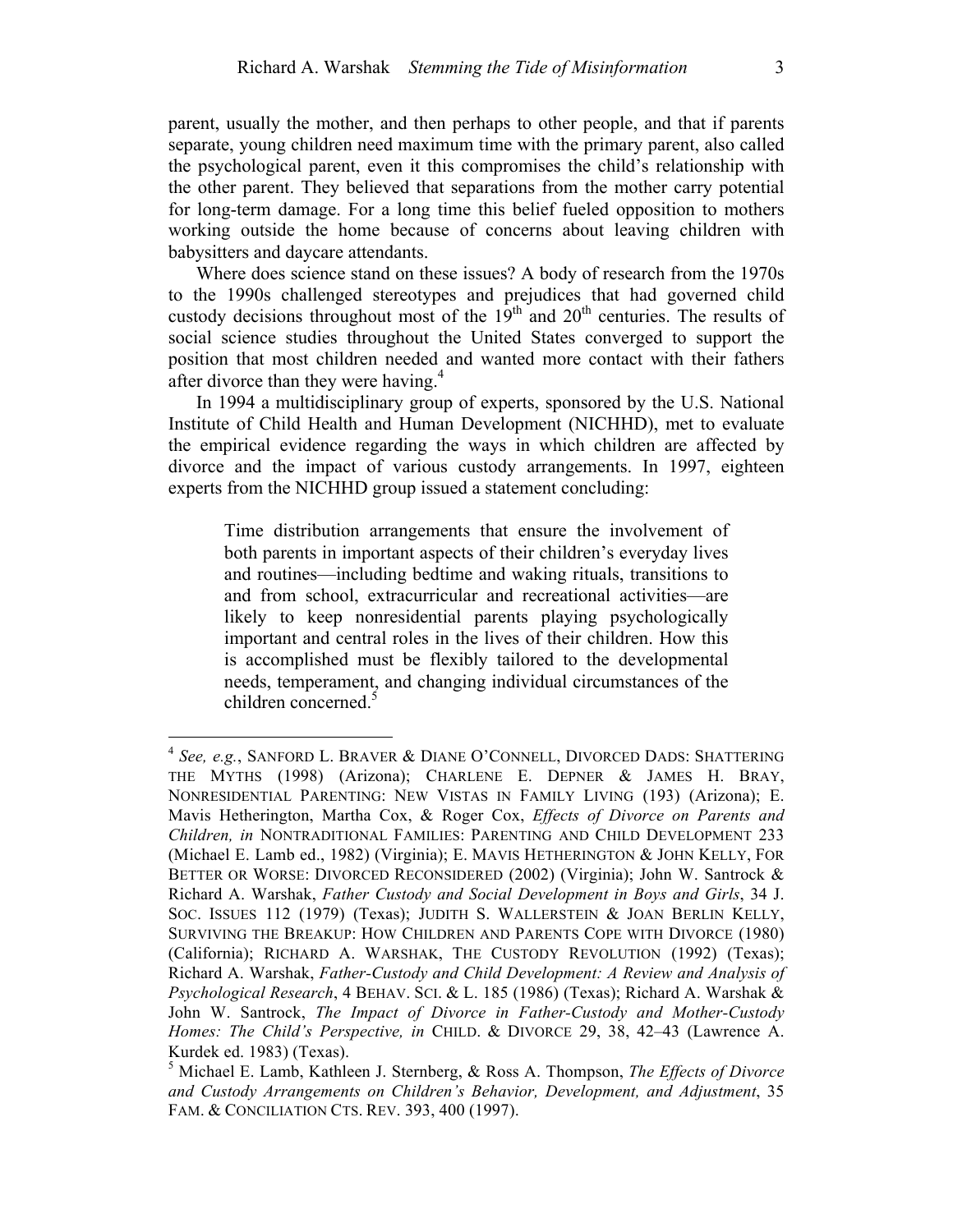parent, usually the mother, and then perhaps to other people, and that if parents separate, young children need maximum time with the primary parent, also called the psychological parent, even it this compromises the child's relationship with the other parent. They believed that separations from the mother carry potential for long-term damage. For a long time this belief fueled opposition to mothers working outside the home because of concerns about leaving children with babysitters and daycare attendants.

Where does science stand on these issues? A body of research from the 1970s to the 1990s challenged stereotypes and prejudices that had governed child custody decisions throughout most of the  $19<sup>th</sup>$  and  $20<sup>th</sup>$  centuries. The results of social science studies throughout the United States converged to support the position that most children needed and wanted more contact with their fathers after divorce than they were having.<sup>4</sup>

In 1994 a multidisciplinary group of experts, sponsored by the U.S. National Institute of Child Health and Human Development (NICHHD), met to evaluate the empirical evidence regarding the ways in which children are affected by divorce and the impact of various custody arrangements. In 1997, eighteen experts from the NICHHD group issued a statement concluding:

Time distribution arrangements that ensure the involvement of both parents in important aspects of their children's everyday lives and routines—including bedtime and waking rituals, transitions to and from school, extracurricular and recreational activities—are likely to keep nonresidential parents playing psychologically important and central roles in the lives of their children. How this is accomplished must be flexibly tailored to the developmental needs, temperament, and changing individual circumstances of the children concerned.<sup>5</sup>

 <sup>4</sup> *See, e.g.*, SANFORD L. BRAVER & DIANE O'CONNELL, DIVORCED DADS: SHATTERING THE MYTHS (1998) (Arizona); CHARLENE E. DEPNER & JAMES H. BRAY, NONRESIDENTIAL PARENTING: NEW VISTAS IN FAMILY LIVING (193) (Arizona); E. Mavis Hetherington, Martha Cox, & Roger Cox, *Effects of Divorce on Parents and Children, in* NONTRADITIONAL FAMILIES: PARENTING AND CHILD DEVELOPMENT 233 (Michael E. Lamb ed., 1982) (Virginia); E. MAVIS HETHERINGTON & JOHN KELLY, FOR BETTER OR WORSE: DIVORCED RECONSIDERED (2002) (Virginia); John W. Santrock & Richard A. Warshak, *Father Custody and Social Development in Boys and Girls*, 34 J. SOC. ISSUES 112 (1979) (Texas); JUDITH S. WALLERSTEIN & JOAN BERLIN KELLY, SURVIVING THE BREAKUP: HOW CHILDREN AND PARENTS COPE WITH DIVORCE (1980) (California); RICHARD A. WARSHAK, THE CUSTODY REVOLUTION (1992) (Texas); Richard A. Warshak, *Father-Custody and Child Development: A Review and Analysis of Psychological Research*, 4 BEHAV. SCI. & L. 185 (1986) (Texas); Richard A. Warshak & John W. Santrock, *The Impact of Divorce in Father-Custody and Mother-Custody Homes: The Child's Perspective, in* CHILD. & DIVORCE 29, 38, 42–43 (Lawrence A. Kurdek ed. 1983) (Texas).

<sup>5</sup> Michael E. Lamb, Kathleen J. Sternberg, & Ross A. Thompson, *The Effects of Divorce and Custody Arrangements on Children's Behavior, Development, and Adjustment*, 35 FAM. & CONCILIATION CTS. REV. 393, 400 (1997).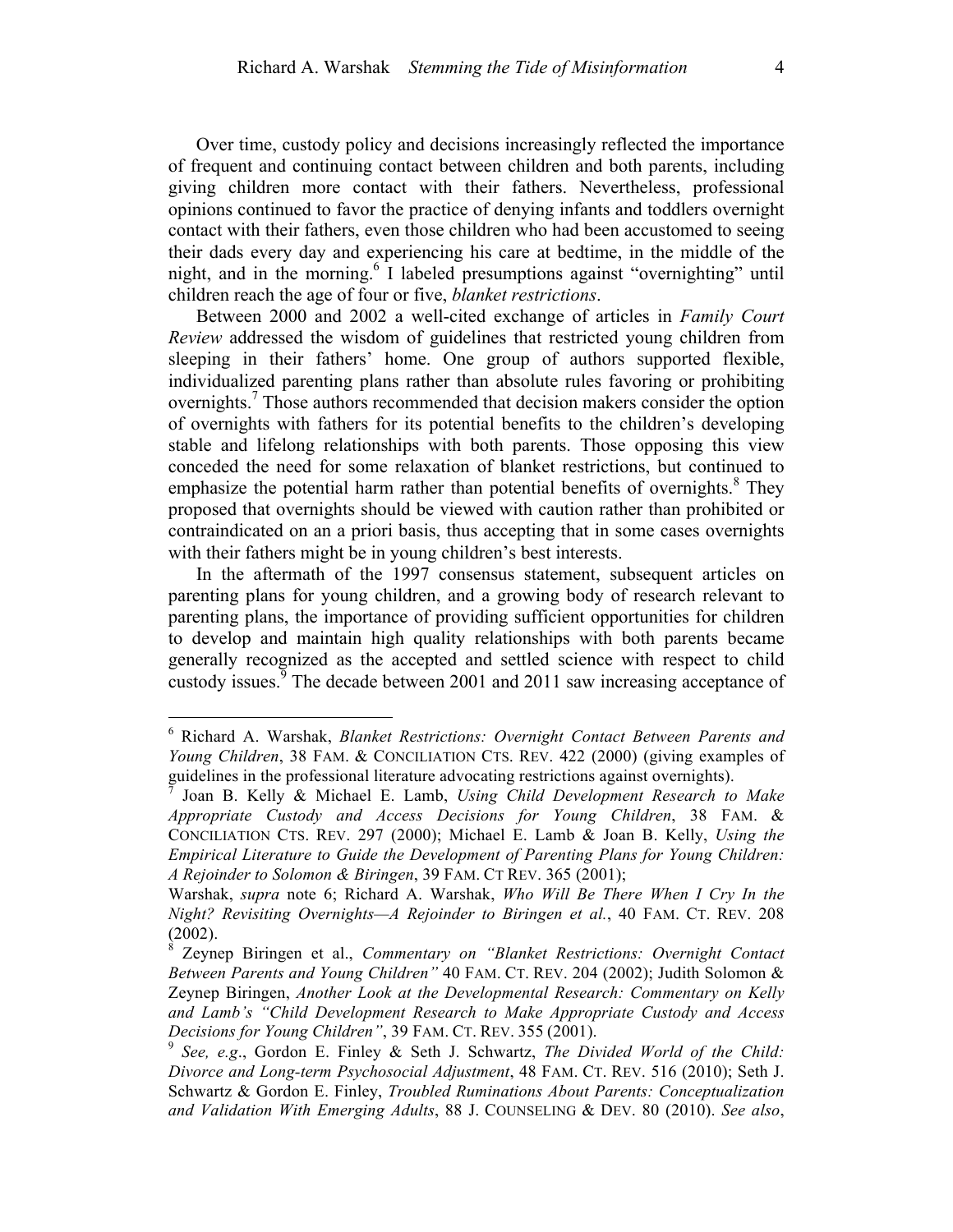Over time, custody policy and decisions increasingly reflected the importance of frequent and continuing contact between children and both parents, including giving children more contact with their fathers. Nevertheless, professional opinions continued to favor the practice of denying infants and toddlers overnight contact with their fathers, even those children who had been accustomed to seeing their dads every day and experiencing his care at bedtime, in the middle of the night, and in the morning.<sup>6</sup> I labeled presumptions against "overnighting" until children reach the age of four or five, *blanket restrictions*.

Between 2000 and 2002 a well-cited exchange of articles in *Family Court Review* addressed the wisdom of guidelines that restricted young children from sleeping in their fathers' home. One group of authors supported flexible, individualized parenting plans rather than absolute rules favoring or prohibiting overnights.<sup>7</sup> Those authors recommended that decision makers consider the option of overnights with fathers for its potential benefits to the children's developing stable and lifelong relationships with both parents. Those opposing this view conceded the need for some relaxation of blanket restrictions, but continued to emphasize the potential harm rather than potential benefits of overnights. $8$  They proposed that overnights should be viewed with caution rather than prohibited or contraindicated on an a priori basis, thus accepting that in some cases overnights with their fathers might be in young children's best interests.

In the aftermath of the 1997 consensus statement, subsequent articles on parenting plans for young children, and a growing body of research relevant to parenting plans, the importance of providing sufficient opportunities for children to develop and maintain high quality relationships with both parents became generally recognized as the accepted and settled science with respect to child custody issues. $\frac{3}{9}$  The decade between 2001 and 2011 saw increasing acceptance of

 <sup>6</sup> Richard A. Warshak, *Blanket Restrictions: Overnight Contact Between Parents and Young Children*, 38 FAM. & CONCILIATION CTS. REV. 422 (2000) (giving examples of guidelines in the professional literature advocating restrictions against overnights).

<sup>7</sup> Joan B. Kelly & Michael E. Lamb, *Using Child Development Research to Make Appropriate Custody and Access Decisions for Young Children*, 38 FAM. & CONCILIATION CTS. REV. 297 (2000); Michael E. Lamb & Joan B. Kelly, *Using the Empirical Literature to Guide the Development of Parenting Plans for Young Children: A Rejoinder to Solomon & Biringen*, 39 FAM. CT REV. 365 (2001);

Warshak, *supra* note 6; Richard A. Warshak, *Who Will Be There When I Cry In the Night? Revisiting Overnights—A Rejoinder to Biringen et al.*, 40 FAM. CT. REV. 208 (2002).

<sup>8</sup> Zeynep Biringen et al., *Commentary on "Blanket Restrictions: Overnight Contact Between Parents and Young Children"* 40 FAM. CT. REV. 204 (2002); Judith Solomon & Zeynep Biringen, *Another Look at the Developmental Research: Commentary on Kelly and Lamb's "Child Development Research to Make Appropriate Custody and Access Decisions for Young Children"*, 39 FAM. CT. REV. 355 (2001).

<sup>9</sup> *See, e.g*., Gordon E. Finley & Seth J. Schwartz, *The Divided World of the Child: Divorce and Long-term Psychosocial Adjustment*, 48 FAM. CT. REV. 516 (2010); Seth J. Schwartz & Gordon E. Finley, *Troubled Ruminations About Parents: Conceptualization and Validation With Emerging Adults*, 88 J. COUNSELING & DEV. 80 (2010). *See also*,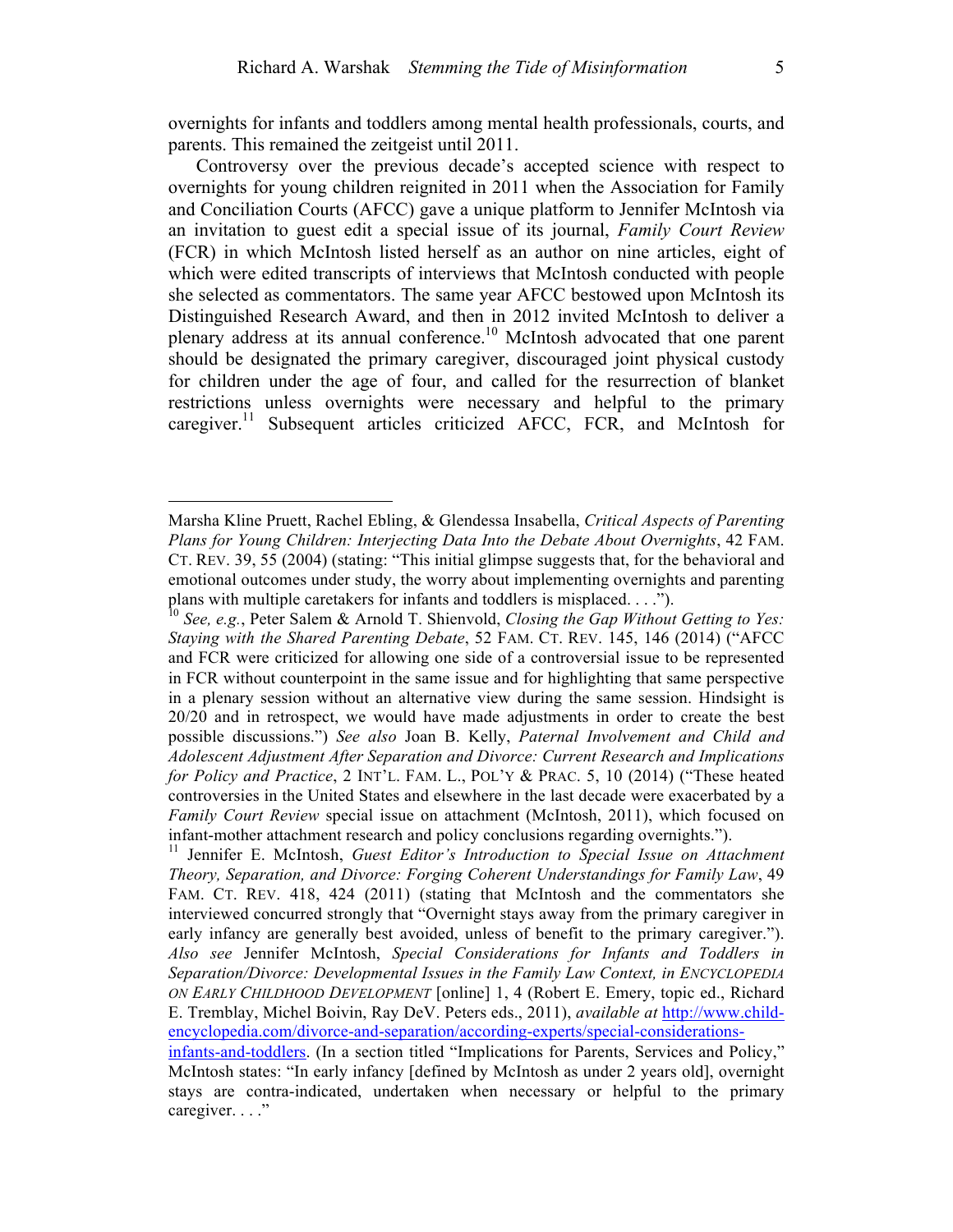overnights for infants and toddlers among mental health professionals, courts, and parents. This remained the zeitgeist until 2011.

Controversy over the previous decade's accepted science with respect to overnights for young children reignited in 2011 when the Association for Family and Conciliation Courts (AFCC) gave a unique platform to Jennifer McIntosh via an invitation to guest edit a special issue of its journal, *Family Court Review* (FCR) in which McIntosh listed herself as an author on nine articles, eight of which were edited transcripts of interviews that McIntosh conducted with people she selected as commentators. The same year AFCC bestowed upon McIntosh its Distinguished Research Award, and then in 2012 invited McIntosh to deliver a plenary address at its annual conference.10 McIntosh advocated that one parent should be designated the primary caregiver, discouraged joint physical custody for children under the age of four, and called for the resurrection of blanket restrictions unless overnights were necessary and helpful to the primary caregiver.<sup>11</sup> Subsequent articles criticized AFCC, FCR, and McIntosh for

 $\overline{a}$ 

Marsha Kline Pruett, Rachel Ebling, & Glendessa Insabella, *Critical Aspects of Parenting Plans for Young Children: Interjecting Data Into the Debate About Overnights*, 42 FAM. CT. REV. 39, 55 (2004) (stating: "This initial glimpse suggests that, for the behavioral and emotional outcomes under study, the worry about implementing overnights and parenting plans with multiple caretakers for infants and toddlers is misplaced. . . .").

<sup>10</sup> *See, e.g.*, Peter Salem & Arnold T. Shienvold, *Closing the Gap Without Getting to Yes: Staying with the Shared Parenting Debate*, 52 FAM. CT. REV. 145, 146 (2014) ("AFCC and FCR were criticized for allowing one side of a controversial issue to be represented in FCR without counterpoint in the same issue and for highlighting that same perspective in a plenary session without an alternative view during the same session. Hindsight is 20/20 and in retrospect, we would have made adjustments in order to create the best possible discussions.") *See also* Joan B. Kelly, *Paternal Involvement and Child and Adolescent Adjustment After Separation and Divorce: Current Research and Implications for Policy and Practice*, 2 INT'L. FAM. L., POL'Y & PRAC. 5, 10 (2014) ("These heated controversies in the United States and elsewhere in the last decade were exacerbated by a *Family Court Review* special issue on attachment (McIntosh, 2011), which focused on infant-mother attachment research and policy conclusions regarding overnights.").<br><sup>11</sup> Jennifer E. McIntosh, *Guest Editor's Introduction to Special Issue on Attachment* 

*Theory, Separation, and Divorce: Forging Coherent Understandings for Family Law*, 49 FAM. CT. REV. 418, 424 (2011) (stating that McIntosh and the commentators she interviewed concurred strongly that "Overnight stays away from the primary caregiver in early infancy are generally best avoided, unless of benefit to the primary caregiver."). *Also see* Jennifer McIntosh, *Special Considerations for Infants and Toddlers in Separation/Divorce: Developmental Issues in the Family Law Context, in ENCYCLOPEDIA ON EARLY CHILDHOOD DEVELOPMENT* [online] 1, 4 (Robert E. Emery, topic ed., Richard E. Tremblay, Michel Boivin, Ray DeV. Peters eds., 2011), *available at* http://www.childencyclopedia.com/divorce-and-separation/according-experts/special-considerations-

infants-and-toddlers. (In a section titled "Implications for Parents, Services and Policy," McIntosh states: "In early infancy [defined by McIntosh as under 2 years old], overnight stays are contra-indicated, undertaken when necessary or helpful to the primary caregiver. . . ."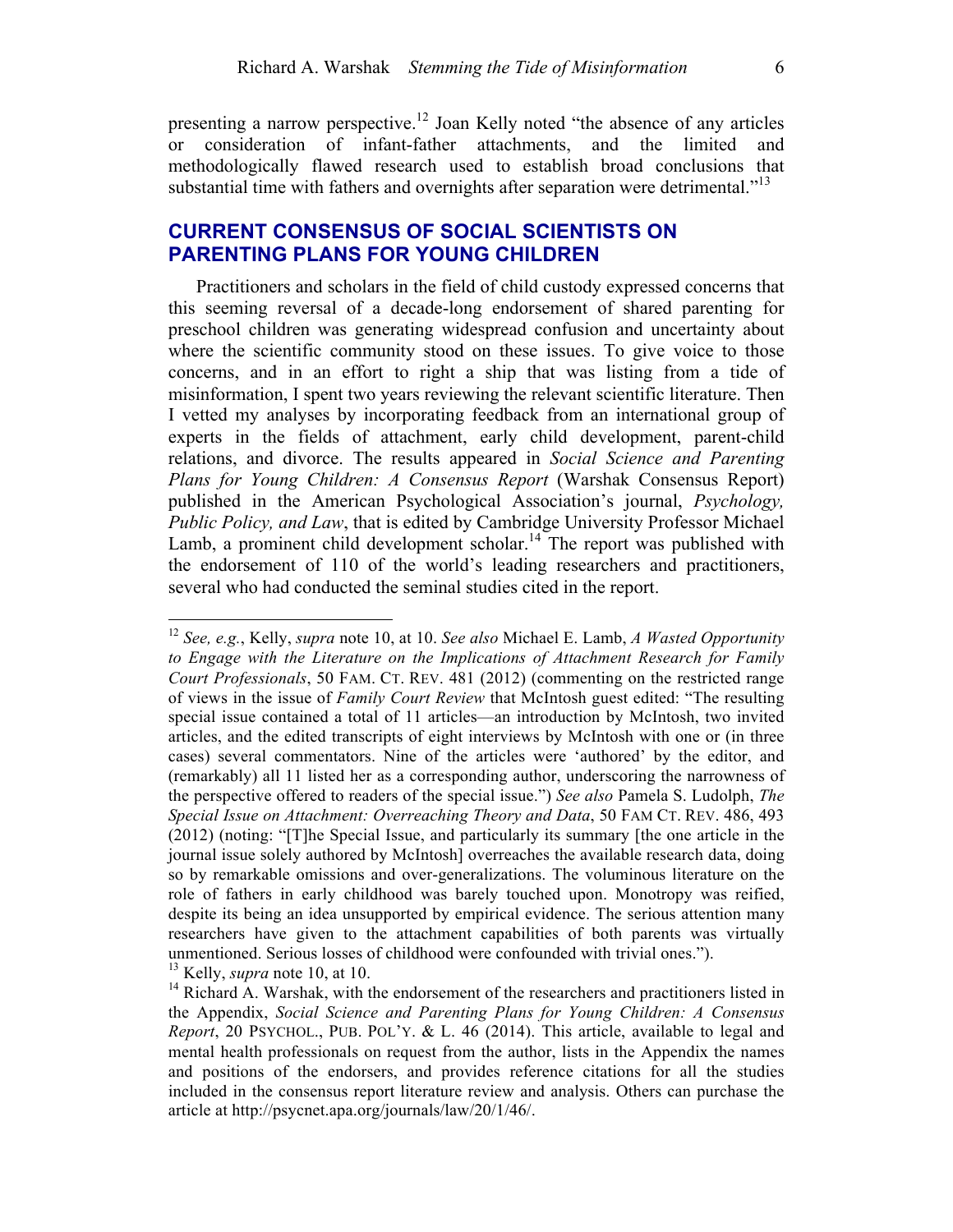presenting a narrow perspective.<sup>12</sup> Joan Kelly noted "the absence of any articles" or consideration of infant-father attachments, and the limited and methodologically flawed research used to establish broad conclusions that substantial time with fathers and overnights after separation were detrimental."<sup>13</sup>

# **CURRENT CONSENSUS OF SOCIAL SCIENTISTS ON PARENTING PLANS FOR YOUNG CHILDREN**

Practitioners and scholars in the field of child custody expressed concerns that this seeming reversal of a decade-long endorsement of shared parenting for preschool children was generating widespread confusion and uncertainty about where the scientific community stood on these issues. To give voice to those concerns, and in an effort to right a ship that was listing from a tide of misinformation, I spent two years reviewing the relevant scientific literature. Then I vetted my analyses by incorporating feedback from an international group of experts in the fields of attachment, early child development, parent-child relations, and divorce. The results appeared in *Social Science and Parenting Plans for Young Children: A Consensus Report* (Warshak Consensus Report) published in the American Psychological Association's journal, *Psychology, Public Policy, and Law*, that is edited by Cambridge University Professor Michael Lamb, a prominent child development scholar.<sup>14</sup> The report was published with the endorsement of 110 of the world's leading researchers and practitioners, several who had conducted the seminal studies cited in the report.

 <sup>12</sup> *See, e.g.*, Kelly, *supra* note 10, at 10. *See also* Michael E. Lamb, *A Wasted Opportunity to Engage with the Literature on the Implications of Attachment Research for Family Court Professionals*, 50 FAM. CT. REV. 481 (2012) (commenting on the restricted range of views in the issue of *Family Court Review* that McIntosh guest edited: "The resulting special issue contained a total of 11 articles—an introduction by McIntosh, two invited articles, and the edited transcripts of eight interviews by McIntosh with one or (in three cases) several commentators. Nine of the articles were 'authored' by the editor, and (remarkably) all 11 listed her as a corresponding author, underscoring the narrowness of the perspective offered to readers of the special issue.") *See also* Pamela S. Ludolph, *The Special Issue on Attachment: Overreaching Theory and Data*, 50 FAM CT. REV. 486, 493 (2012) (noting: "[T]he Special Issue, and particularly its summary [the one article in the journal issue solely authored by McIntosh] overreaches the available research data, doing so by remarkable omissions and over-generalizations. The voluminous literature on the role of fathers in early childhood was barely touched upon. Monotropy was reified, despite its being an idea unsupported by empirical evidence. The serious attention many researchers have given to the attachment capabilities of both parents was virtually unmentioned. Serious losses of childhood were confounded with trivial ones."). 13 Kelly, *supra* note 10, at 10.

 $14$  Richard A. Warshak, with the endorsement of the researchers and practitioners listed in the Appendix, *Social Science and Parenting Plans for Young Children: A Consensus Report*, 20 PSYCHOL., PUB. POL'Y. & L. 46 (2014). This article, available to legal and mental health professionals on request from the author, lists in the Appendix the names and positions of the endorsers, and provides reference citations for all the studies included in the consensus report literature review and analysis. Others can purchase the article at http://psycnet.apa.org/journals/law/20/1/46/.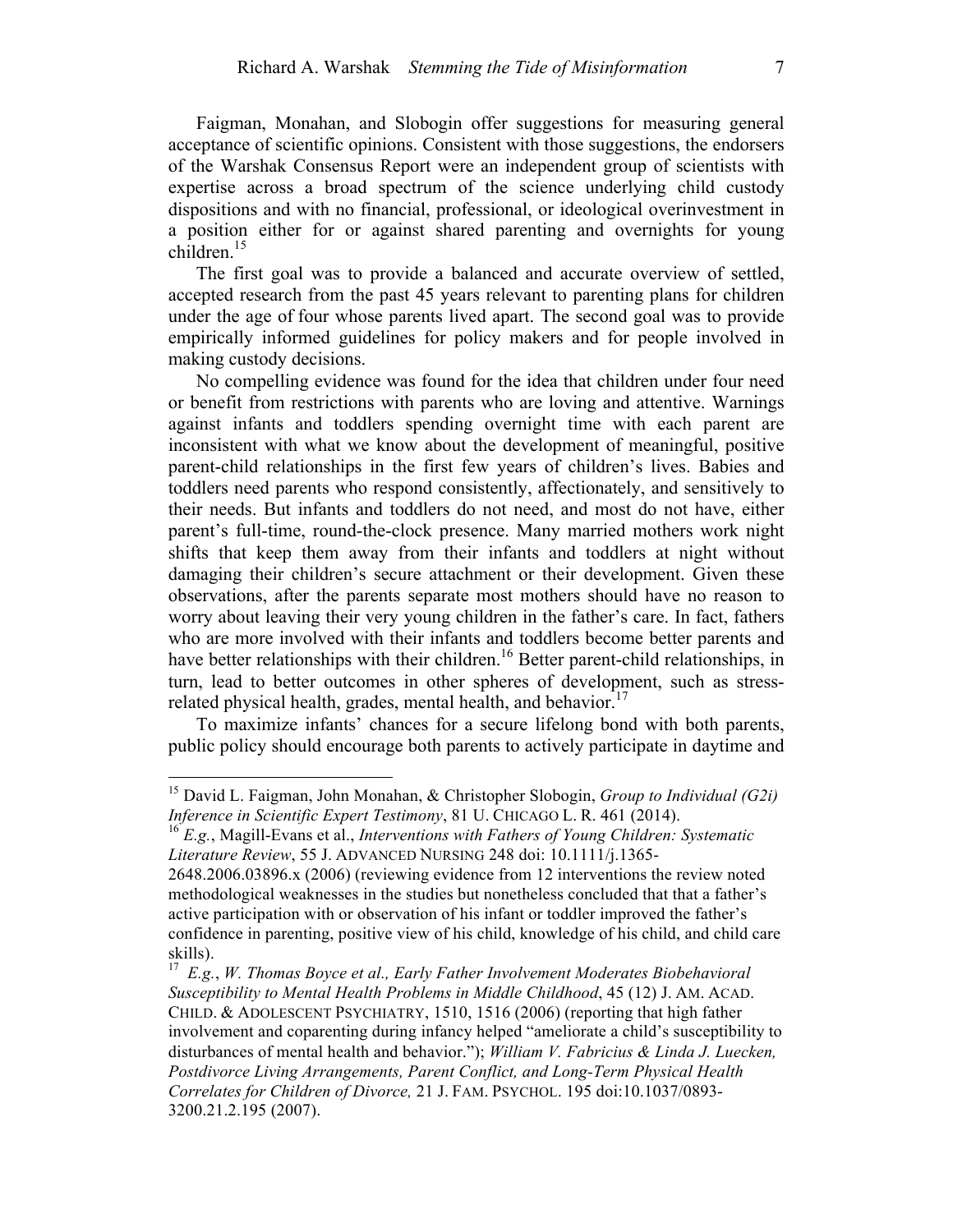Faigman, Monahan, and Slobogin offer suggestions for measuring general acceptance of scientific opinions. Consistent with those suggestions, the endorsers of the Warshak Consensus Report were an independent group of scientists with expertise across a broad spectrum of the science underlying child custody dispositions and with no financial, professional, or ideological overinvestment in a position either for or against shared parenting and overnights for young children. $15$ 

The first goal was to provide a balanced and accurate overview of settled, accepted research from the past 45 years relevant to parenting plans for children under the age of four whose parents lived apart. The second goal was to provide empirically informed guidelines for policy makers and for people involved in making custody decisions.

No compelling evidence was found for the idea that children under four need or benefit from restrictions with parents who are loving and attentive. Warnings against infants and toddlers spending overnight time with each parent are inconsistent with what we know about the development of meaningful, positive parent-child relationships in the first few years of children's lives. Babies and toddlers need parents who respond consistently, affectionately, and sensitively to their needs. But infants and toddlers do not need, and most do not have, either parent's full-time, round-the-clock presence. Many married mothers work night shifts that keep them away from their infants and toddlers at night without damaging their children's secure attachment or their development. Given these observations, after the parents separate most mothers should have no reason to worry about leaving their very young children in the father's care. In fact, fathers who are more involved with their infants and toddlers become better parents and have better relationships with their children.<sup>16</sup> Better parent-child relationships, in turn, lead to better outcomes in other spheres of development, such as stressrelated physical health, grades, mental health, and behavior.<sup>17</sup>

To maximize infants' chances for a secure lifelong bond with both parents, public policy should encourage both parents to actively participate in daytime and

 <sup>15</sup> David L. Faigman, John Monahan, & Christopher Slobogin, *Group to Individual (G2i) Inference in Scientific Expert Testimony*, 81 U. CHICAGO L. R. 461 (2014).

<sup>16</sup> *E.g.*, Magill-Evans et al., *Interventions with Fathers of Young Children: Systematic Literature Review*, 55 J. ADVANCED NURSING 248 doi: 10.1111/j.1365-

<sup>2648.2006.03896.</sup>x (2006) (reviewing evidence from 12 interventions the review noted methodological weaknesses in the studies but nonetheless concluded that that a father's active participation with or observation of his infant or toddler improved the father's confidence in parenting, positive view of his child, knowledge of his child, and child care skills).

<sup>17</sup> *E.g.*, *W. Thomas Boyce et al., Early Father Involvement Moderates Biobehavioral Susceptibility to Mental Health Problems in Middle Childhood*, 45 (12) J. AM. ACAD. CHILD. & ADOLESCENT PSYCHIATRY, 1510, 1516 (2006) (reporting that high father involvement and coparenting during infancy helped "ameliorate a child's susceptibility to disturbances of mental health and behavior."); *William V. Fabricius & Linda J. Luecken, Postdivorce Living Arrangements, Parent Conflict, and Long-Term Physical Health Correlates for Children of Divorce,* 21 J. FAM. PSYCHOL. 195 doi:10.1037/0893- 3200.21.2.195 (2007).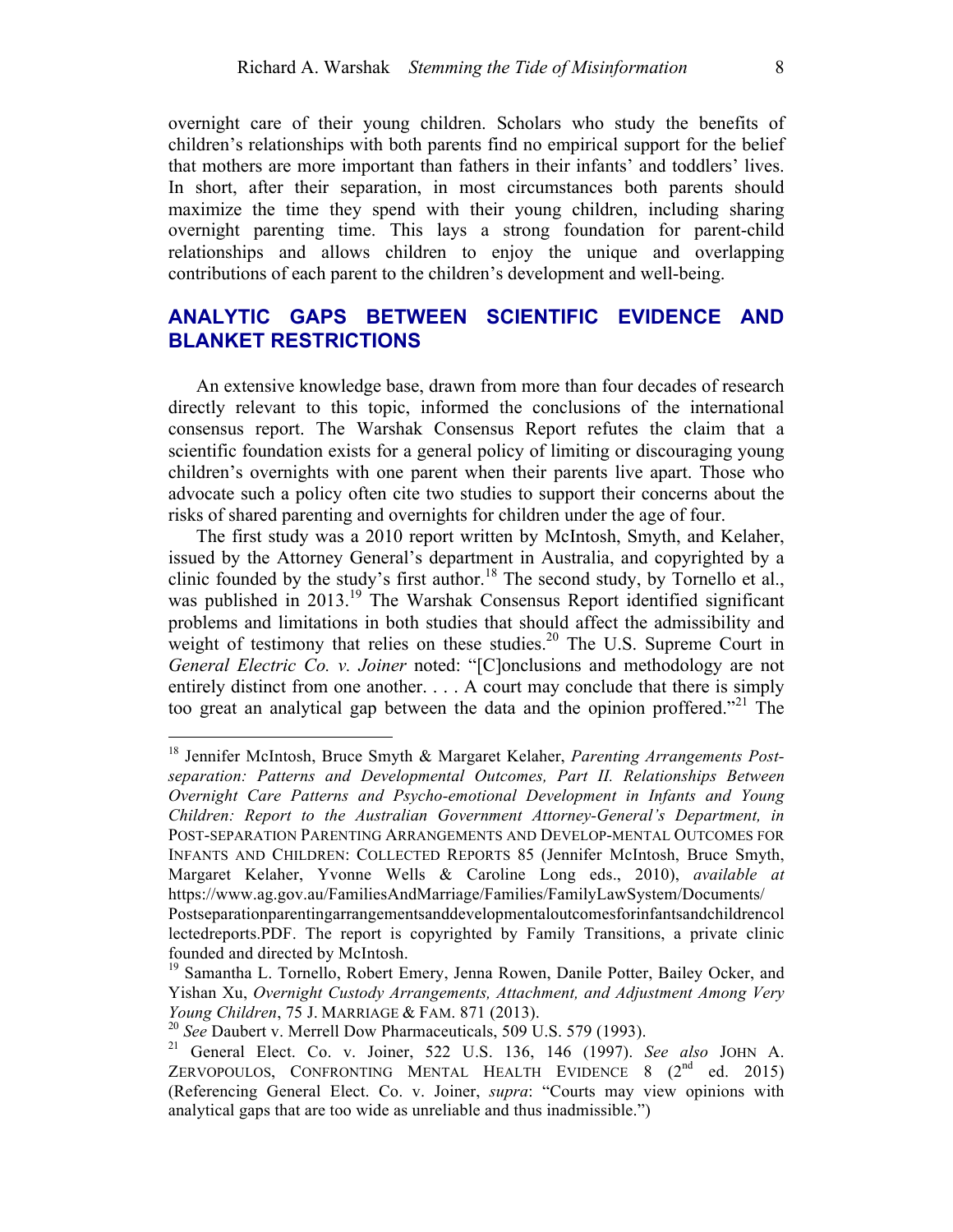overnight care of their young children. Scholars who study the benefits of children's relationships with both parents find no empirical support for the belief that mothers are more important than fathers in their infants' and toddlers' lives. In short, after their separation, in most circumstances both parents should maximize the time they spend with their young children, including sharing overnight parenting time. This lays a strong foundation for parent-child relationships and allows children to enjoy the unique and overlapping contributions of each parent to the children's development and well-being.

# **ANALYTIC GAPS BETWEEN SCIENTIFIC EVIDENCE AND BLANKET RESTRICTIONS**

An extensive knowledge base, drawn from more than four decades of research directly relevant to this topic, informed the conclusions of the international consensus report. The Warshak Consensus Report refutes the claim that a scientific foundation exists for a general policy of limiting or discouraging young children's overnights with one parent when their parents live apart. Those who advocate such a policy often cite two studies to support their concerns about the risks of shared parenting and overnights for children under the age of four.

The first study was a 2010 report written by McIntosh, Smyth, and Kelaher, issued by the Attorney General's department in Australia, and copyrighted by a clinic founded by the study's first author.<sup>18</sup> The second study, by Tornello et al., was published in 2013.<sup>19</sup> The Warshak Consensus Report identified significant problems and limitations in both studies that should affect the admissibility and weight of testimony that relies on these studies.<sup>20</sup> The U.S. Supreme Court in *General Electric Co. v. Joiner* noted: "[C]onclusions and methodology are not entirely distinct from one another. . . . A court may conclude that there is simply too great an analytical gap between the data and the opinion proffered.<sup> $21$ </sup> The

 <sup>18</sup> Jennifer McIntosh, Bruce Smyth & Margaret Kelaher, *Parenting Arrangements Postseparation: Patterns and Developmental Outcomes, Part II. Relationships Between Overnight Care Patterns and Psycho-emotional Development in Infants and Young Children: Report to the Australian Government Attorney-General's Department, in* POST-SEPARATION PARENTING ARRANGEMENTS AND DEVELOP-MENTAL OUTCOMES FOR INFANTS AND CHILDREN: COLLECTED REPORTS 85 (Jennifer McIntosh, Bruce Smyth, Margaret Kelaher, Yvonne Wells & Caroline Long eds., 2010), *available at*  https://www.ag.gov.au/FamiliesAndMarriage/Families/FamilyLawSystem/Documents/ Postseparationparentingarrangementsanddevelopmentaloutcomesforinfantsandchildrencol lectedreports.PDF. The report is copyrighted by Family Transitions, a private clinic founded and directed by McIntosh.

<sup>&</sup>lt;sup>19</sup> Samantha L. Tornello, Robert Emery, Jenna Rowen, Danile Potter, Bailey Ocker, and Yishan Xu, *Overnight Custody Arrangements, Attachment, and Adjustment Among Very Young Children*, 75 J. MARRIAGE & FAM. 871 (2013).

<sup>20</sup> *See* Daubert v. Merrell Dow Pharmaceuticals, 509 U.S. 579 (1993).

<sup>21</sup> General Elect. Co. v. Joiner, 522 U.S. 136, 146 (1997). *See also* JOHN A. ZERVOPOULOS, CONFRONTING MENTAL HEALTH EVIDENCE  $8$  (2<sup>nd</sup> ed. 2015) (Referencing General Elect. Co. v. Joiner, *supra*: "Courts may view opinions with analytical gaps that are too wide as unreliable and thus inadmissible.")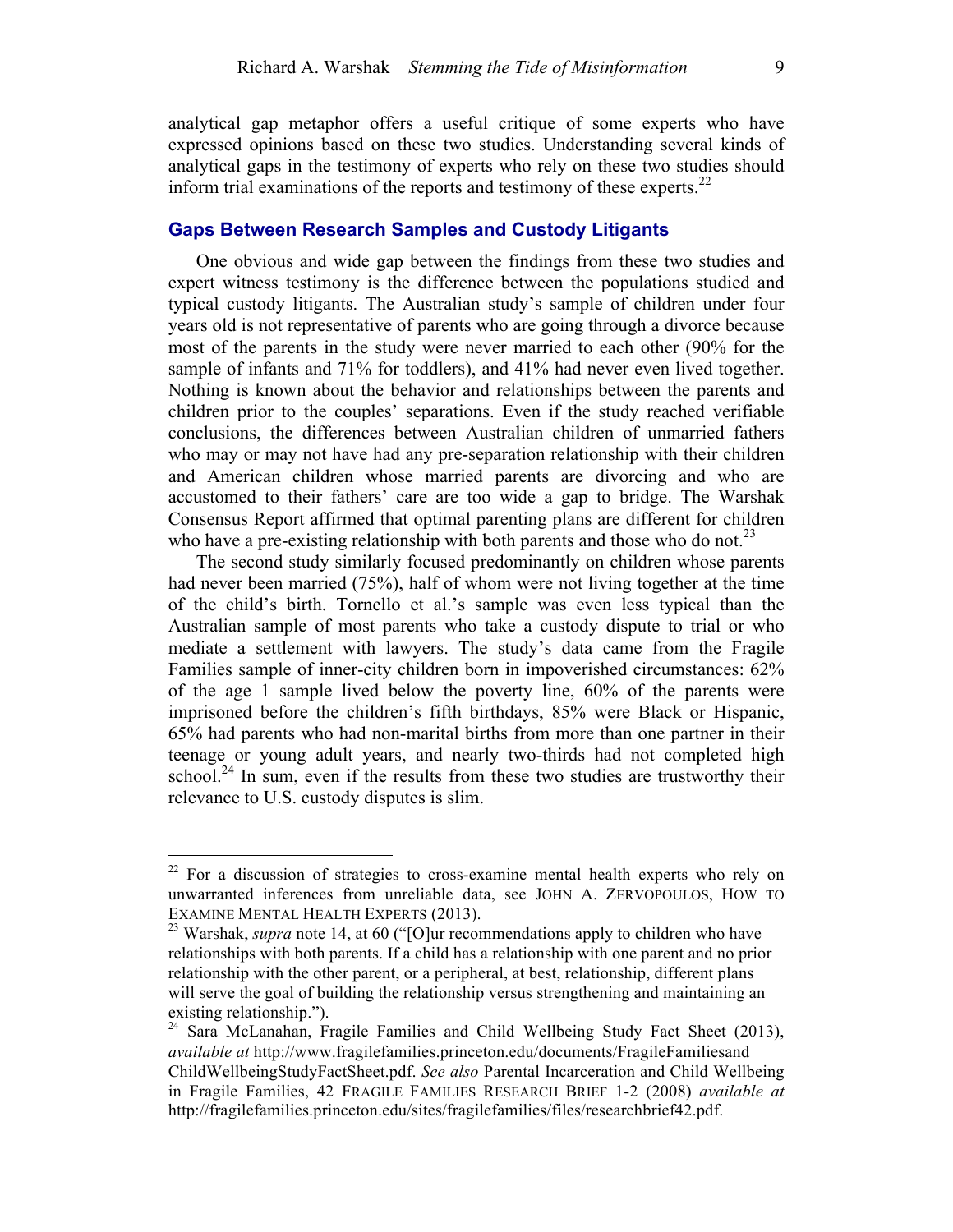analytical gap metaphor offers a useful critique of some experts who have expressed opinions based on these two studies. Understanding several kinds of analytical gaps in the testimony of experts who rely on these two studies should inform trial examinations of the reports and testimony of these experts.<sup>22</sup>

### **Gaps Between Research Samples and Custody Litigants**

One obvious and wide gap between the findings from these two studies and expert witness testimony is the difference between the populations studied and typical custody litigants. The Australian study's sample of children under four years old is not representative of parents who are going through a divorce because most of the parents in the study were never married to each other (90% for the sample of infants and 71% for toddlers), and 41% had never even lived together. Nothing is known about the behavior and relationships between the parents and children prior to the couples' separations. Even if the study reached verifiable conclusions, the differences between Australian children of unmarried fathers who may or may not have had any pre-separation relationship with their children and American children whose married parents are divorcing and who are accustomed to their fathers' care are too wide a gap to bridge. The Warshak Consensus Report affirmed that optimal parenting plans are different for children who have a pre-existing relationship with both parents and those who do not.<sup>23</sup>

The second study similarly focused predominantly on children whose parents had never been married (75%), half of whom were not living together at the time of the child's birth. Tornello et al.'s sample was even less typical than the Australian sample of most parents who take a custody dispute to trial or who mediate a settlement with lawyers. The study's data came from the Fragile Families sample of inner-city children born in impoverished circumstances: 62% of the age 1 sample lived below the poverty line, 60% of the parents were imprisoned before the children's fifth birthdays, 85% were Black or Hispanic, 65% had parents who had non-marital births from more than one partner in their teenage or young adult years, and nearly two-thirds had not completed high school.<sup>24</sup> In sum, even if the results from these two studies are trustworthy their relevance to U.S. custody disputes is slim.

 $22$  For a discussion of strategies to cross-examine mental health experts who rely on unwarranted inferences from unreliable data, see JOHN A. ZERVOPOULOS, HOW TO EXAMINE MENTAL HEALTH EXPERTS (2013).

<sup>&</sup>lt;sup>23</sup> Warshak, *supra* note 14, at 60 ("[O]ur recommendations apply to children who have relationships with both parents. If a child has a relationship with one parent and no prior relationship with the other parent, or a peripheral, at best, relationship, different plans will serve the goal of building the relationship versus strengthening and maintaining an existing relationship.").

<sup>&</sup>lt;sup>24</sup> Sara McLanahan, Fragile Families and Child Wellbeing Study Fact Sheet (2013), *available at* http://www.fragilefamilies.princeton.edu/documents/FragileFamiliesand ChildWellbeingStudyFactSheet.pdf. *See also* Parental Incarceration and Child Wellbeing in Fragile Families, 42 FRAGILE FAMILIES RESEARCH BRIEF 1-2 (2008) *available at*  http://fragilefamilies.princeton.edu/sites/fragilefamilies/files/researchbrief42.pdf.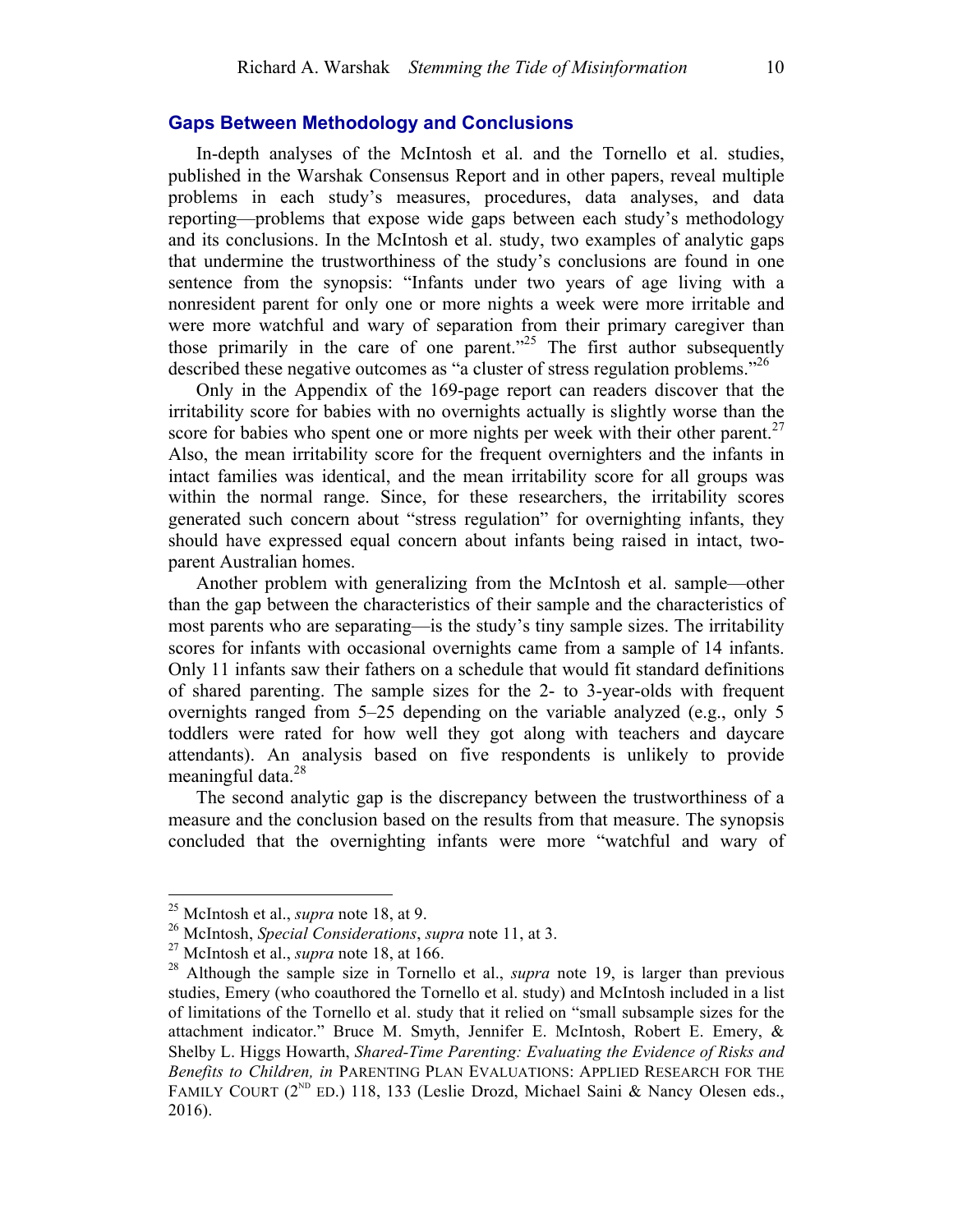#### **Gaps Between Methodology and Conclusions**

In-depth analyses of the McIntosh et al. and the Tornello et al. studies, published in the Warshak Consensus Report and in other papers, reveal multiple problems in each study's measures, procedures, data analyses, and data reporting—problems that expose wide gaps between each study's methodology and its conclusions. In the McIntosh et al. study, two examples of analytic gaps that undermine the trustworthiness of the study's conclusions are found in one sentence from the synopsis: "Infants under two years of age living with a nonresident parent for only one or more nights a week were more irritable and were more watchful and wary of separation from their primary caregiver than those primarily in the care of one parent."<sup>25</sup> The first author subsequently described these negative outcomes as "a cluster of stress regulation problems."<sup>26</sup>

Only in the Appendix of the 169-page report can readers discover that the irritability score for babies with no overnights actually is slightly worse than the score for babies who spent one or more nights per week with their other parent.<sup>27</sup> Also, the mean irritability score for the frequent overnighters and the infants in intact families was identical, and the mean irritability score for all groups was within the normal range. Since, for these researchers, the irritability scores generated such concern about "stress regulation" for overnighting infants, they should have expressed equal concern about infants being raised in intact, twoparent Australian homes.

Another problem with generalizing from the McIntosh et al. sample—other than the gap between the characteristics of their sample and the characteristics of most parents who are separating—is the study's tiny sample sizes. The irritability scores for infants with occasional overnights came from a sample of 14 infants. Only 11 infants saw their fathers on a schedule that would fit standard definitions of shared parenting. The sample sizes for the 2- to 3-year-olds with frequent overnights ranged from 5–25 depending on the variable analyzed (e.g., only 5 toddlers were rated for how well they got along with teachers and daycare attendants). An analysis based on five respondents is unlikely to provide meaningful data. $^{28}$ 

The second analytic gap is the discrepancy between the trustworthiness of a measure and the conclusion based on the results from that measure. The synopsis concluded that the overnighting infants were more "watchful and wary of

 <sup>25</sup> McIntosh et al., *supra* note 18, at 9.

<sup>26</sup> McIntosh, *Special Considerations*, *supra* note 11, at 3.

<sup>27</sup> McIntosh et al., *supra* note 18, at 166.

<sup>28</sup> Although the sample size in Tornello et al., *supra* note 19, is larger than previous studies, Emery (who coauthored the Tornello et al. study) and McIntosh included in a list of limitations of the Tornello et al. study that it relied on "small subsample sizes for the attachment indicator." Bruce M. Smyth, Jennifer E. McIntosh, Robert E. Emery, & Shelby L. Higgs Howarth, *Shared-Time Parenting: Evaluating the Evidence of Risks and Benefits to Children, in* PARENTING PLAN EVALUATIONS: APPLIED RESEARCH FOR THE FAMILY COURT (2<sup>ND</sup> ED.) 118, 133 (Leslie Drozd, Michael Saini & Nancy Olesen eds., 2016).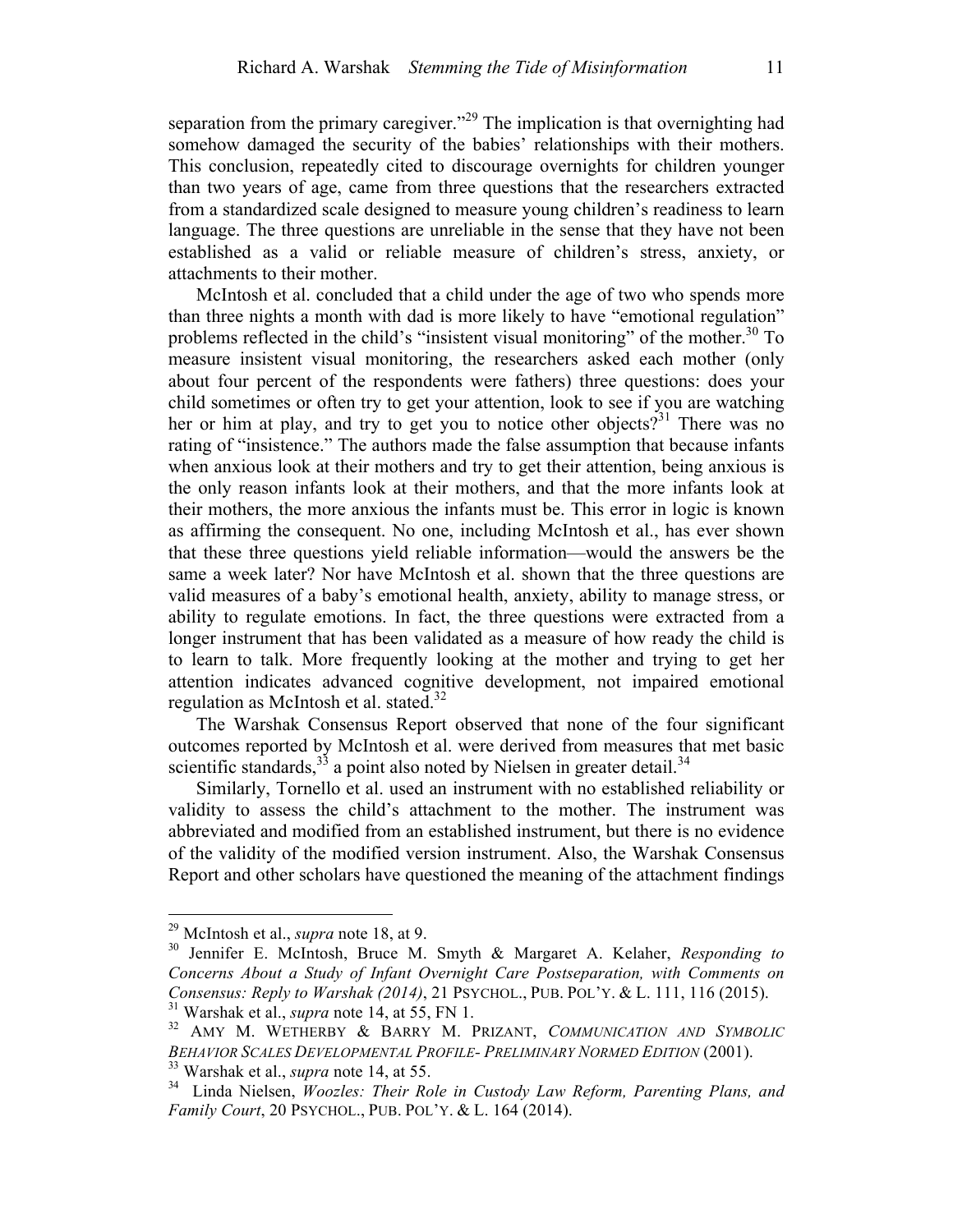separation from the primary caregiver.<sup> $29$ </sup> The implication is that overnighting had somehow damaged the security of the babies' relationships with their mothers. This conclusion, repeatedly cited to discourage overnights for children younger than two years of age, came from three questions that the researchers extracted from a standardized scale designed to measure young children's readiness to learn language. The three questions are unreliable in the sense that they have not been established as a valid or reliable measure of children's stress, anxiety, or attachments to their mother.

McIntosh et al. concluded that a child under the age of two who spends more than three nights a month with dad is more likely to have "emotional regulation" problems reflected in the child's "insistent visual monitoring" of the mother.<sup>30</sup> To measure insistent visual monitoring, the researchers asked each mother (only about four percent of the respondents were fathers) three questions: does your child sometimes or often try to get your attention, look to see if you are watching her or him at play, and try to get you to notice other objects?<sup>31</sup> There was no rating of "insistence." The authors made the false assumption that because infants when anxious look at their mothers and try to get their attention, being anxious is the only reason infants look at their mothers, and that the more infants look at their mothers, the more anxious the infants must be. This error in logic is known as affirming the consequent. No one, including McIntosh et al., has ever shown that these three questions yield reliable information—would the answers be the same a week later? Nor have McIntosh et al. shown that the three questions are valid measures of a baby's emotional health, anxiety, ability to manage stress, or ability to regulate emotions. In fact, the three questions were extracted from a longer instrument that has been validated as a measure of how ready the child is to learn to talk. More frequently looking at the mother and trying to get her attention indicates advanced cognitive development, not impaired emotional regulation as McIntosh et al. stated.<sup>32</sup>

The Warshak Consensus Report observed that none of the four significant outcomes reported by McIntosh et al. were derived from measures that met basic scientific standards,  $3<sup>3</sup>$  a point also noted by Nielsen in greater detail.<sup>34</sup>

Similarly, Tornello et al. used an instrument with no established reliability or validity to assess the child's attachment to the mother. The instrument was abbreviated and modified from an established instrument, but there is no evidence of the validity of the modified version instrument. Also, the Warshak Consensus Report and other scholars have questioned the meaning of the attachment findings

 <sup>29</sup> McIntosh et al., *supra* note 18, at 9.

<sup>30</sup> Jennifer E. McIntosh, Bruce M. Smyth & Margaret A. Kelaher, *Responding to Concerns About a Study of Infant Overnight Care Postseparation, with Comments on Consensus: Reply to Warshak (2014)*, 21 PSYCHOL., PUB. POL'Y. & L. 111, 116 (2015). 31 Warshak et al., *supra* note 14, at 55, FN 1.

<sup>32</sup> AMY M. WETHERBY & BARRY M. PRIZANT, *COMMUNICATION AND SYMBOLIC BEHAVIOR SCALES DEVELOPMENTAL PROFILE- PRELIMINARY NORMED EDITION* (2001). 33 Warshak et al., *supra* note 14, at 55.

<sup>34</sup> Linda Nielsen, *Woozles: Their Role in Custody Law Reform, Parenting Plans, and Family Court*, 20 PSYCHOL., PUB. POL'Y. & L. 164 (2014).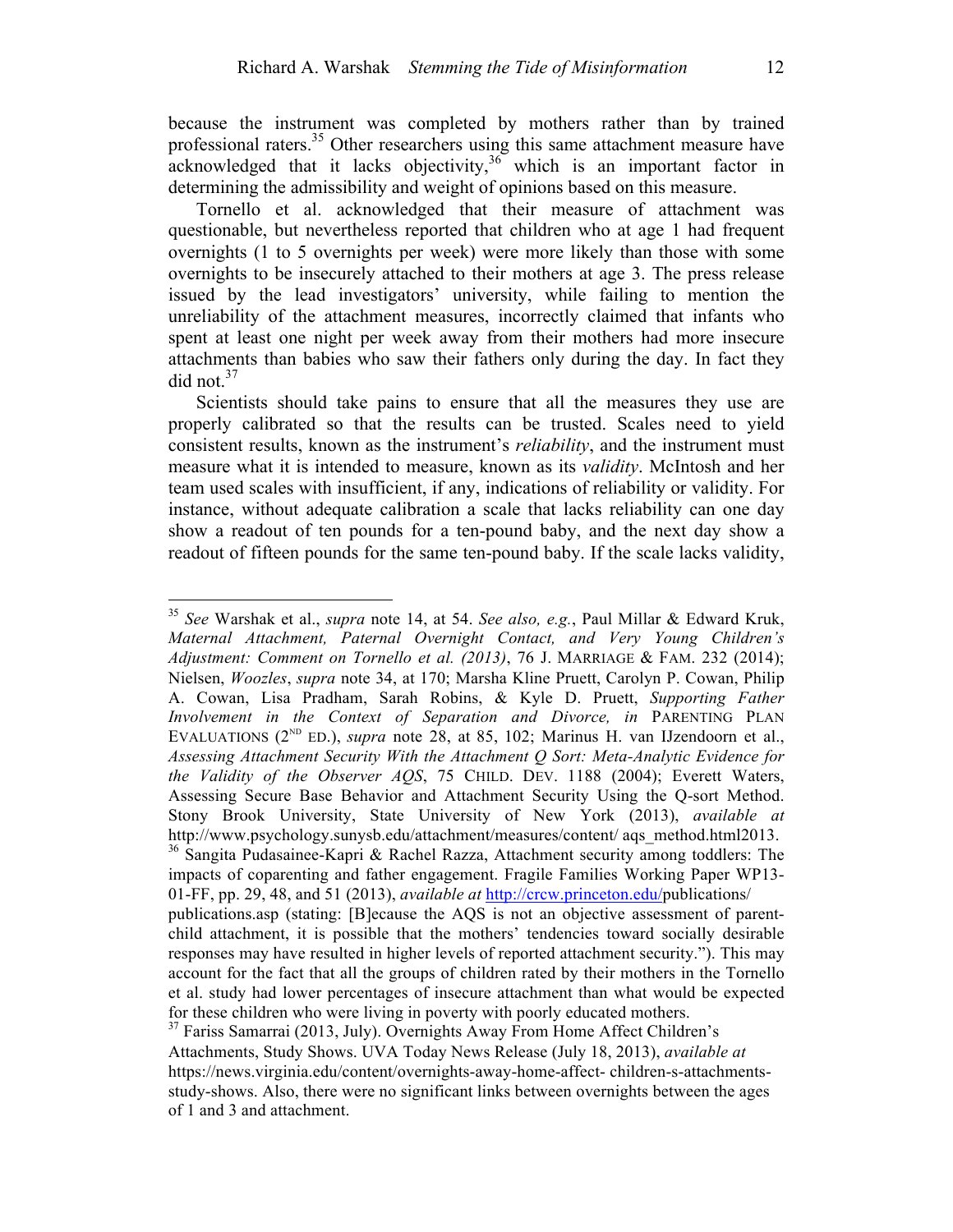because the instrument was completed by mothers rather than by trained professional raters.<sup>35</sup> Other researchers using this same attachment measure have acknowledged that it lacks objectivity,  $36$  which is an important factor in determining the admissibility and weight of opinions based on this measure.

Tornello et al. acknowledged that their measure of attachment was questionable, but nevertheless reported that children who at age 1 had frequent overnights (1 to 5 overnights per week) were more likely than those with some overnights to be insecurely attached to their mothers at age 3. The press release issued by the lead investigators' university, while failing to mention the unreliability of the attachment measures, incorrectly claimed that infants who spent at least one night per week away from their mothers had more insecure attachments than babies who saw their fathers only during the day. In fact they did not.<sup>37</sup>

Scientists should take pains to ensure that all the measures they use are properly calibrated so that the results can be trusted. Scales need to yield consistent results, known as the instrument's *reliability*, and the instrument must measure what it is intended to measure, known as its *validity*. McIntosh and her team used scales with insufficient, if any, indications of reliability or validity. For instance, without adequate calibration a scale that lacks reliability can one day show a readout of ten pounds for a ten-pound baby, and the next day show a readout of fifteen pounds for the same ten-pound baby. If the scale lacks validity,

 <sup>35</sup> *See* Warshak et al., *supra* note 14, at 54. *See also, e.g.*, Paul Millar & Edward Kruk, *Maternal Attachment, Paternal Overnight Contact, and Very Young Children's Adjustment: Comment on Tornello et al. (2013)*, 76 J. MARRIAGE & FAM. 232 (2014); Nielsen, *Woozles*, *supra* note 34, at 170; Marsha Kline Pruett, Carolyn P. Cowan, Philip A. Cowan, Lisa Pradham, Sarah Robins, & Kyle D. Pruett, *Supporting Father Involvement in the Context of Separation and Divorce, in* PARENTING PLAN EVALUATIONS  $(2^{ND}$  ED.), *supra* note 28, at 85, 102; Marinus H. van IJzendoorn et al., *Assessing Attachment Security With the Attachment Q Sort: Meta-Analytic Evidence for the Validity of the Observer AQS*, 75 CHILD. DEV. 1188 (2004); Everett Waters, Assessing Secure Base Behavior and Attachment Security Using the Q-sort Method. Stony Brook University, State University of New York (2013), *available at* http://www.psychology.sunysb.edu/attachment/measures/content/ aqs\_method.html2013. <sup>36</sup> Sangita Pudasainee-Kapri & Rachel Razza, Attachment security among toddlers: The impacts of coparenting and father engagement. Fragile Families Working Paper WP13- 01-FF, pp. 29, 48, and 51 (2013), *available at* http://crcw.princeton.edu/publications/ publications.asp (stating: [B]ecause the AQS is not an objective assessment of parentchild attachment, it is possible that the mothers' tendencies toward socially desirable responses may have resulted in higher levels of reported attachment security."). This may account for the fact that all the groups of children rated by their mothers in the Tornello et al. study had lower percentages of insecure attachment than what would be expected for these children who were living in poverty with poorly educated mothers.

<sup>&</sup>lt;sup>37</sup> Fariss Samarrai (2013, July). Overnights Away From Home Affect Children's Attachments, Study Shows. UVA Today News Release (July 18, 2013), *available at*  https://news.virginia.edu/content/overnights-away-home-affect- children-s-attachmentsstudy-shows. Also, there were no significant links between overnights between the ages of 1 and 3 and attachment.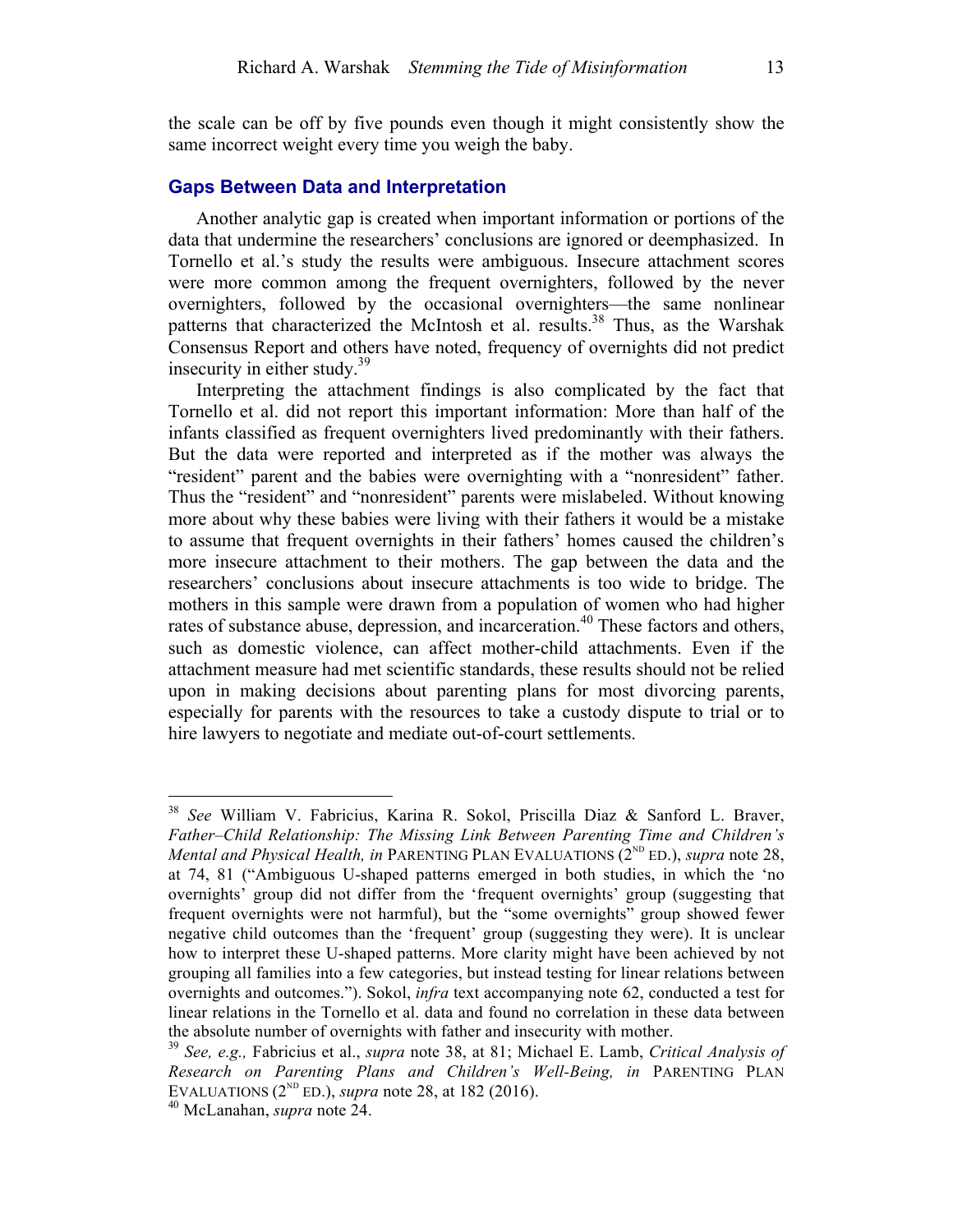the scale can be off by five pounds even though it might consistently show the same incorrect weight every time you weigh the baby.

### **Gaps Between Data and Interpretation**

Another analytic gap is created when important information or portions of the data that undermine the researchers' conclusions are ignored or deemphasized. In Tornello et al.'s study the results were ambiguous. Insecure attachment scores were more common among the frequent overnighters, followed by the never overnighters, followed by the occasional overnighters—the same nonlinear patterns that characterized the McIntosh et al. results.<sup>38</sup> Thus, as the Warshak Consensus Report and others have noted, frequency of overnights did not predict insecurity in either study. $39$ 

Interpreting the attachment findings is also complicated by the fact that Tornello et al. did not report this important information: More than half of the infants classified as frequent overnighters lived predominantly with their fathers. But the data were reported and interpreted as if the mother was always the "resident" parent and the babies were overnighting with a "nonresident" father. Thus the "resident" and "nonresident" parents were mislabeled. Without knowing more about why these babies were living with their fathers it would be a mistake to assume that frequent overnights in their fathers' homes caused the children's more insecure attachment to their mothers. The gap between the data and the researchers' conclusions about insecure attachments is too wide to bridge. The mothers in this sample were drawn from a population of women who had higher rates of substance abuse, depression, and incarceration.<sup>40</sup> These factors and others, such as domestic violence, can affect mother-child attachments. Even if the attachment measure had met scientific standards, these results should not be relied upon in making decisions about parenting plans for most divorcing parents, especially for parents with the resources to take a custody dispute to trial or to hire lawyers to negotiate and mediate out-of-court settlements.

 <sup>38</sup> *See* William V. Fabricius, Karina R. Sokol, Priscilla Diaz & Sanford L. Braver, *Father–Child Relationship: The Missing Link Between Parenting Time and Children's Mental and Physical Health, in PARENTING PLAN EVALUATIONS* (2<sup>ND</sup> ED.), *supra* note 28, at 74, 81 ("Ambiguous U-shaped patterns emerged in both studies, in which the 'no overnights' group did not differ from the 'frequent overnights' group (suggesting that frequent overnights were not harmful), but the "some overnights" group showed fewer negative child outcomes than the 'frequent' group (suggesting they were). It is unclear how to interpret these U-shaped patterns. More clarity might have been achieved by not grouping all families into a few categories, but instead testing for linear relations between overnights and outcomes."). Sokol, *infra* text accompanying note 62, conducted a test for linear relations in the Tornello et al. data and found no correlation in these data between the absolute number of overnights with father and insecurity with mother.

<sup>39</sup> *See, e.g.,* Fabricius et al., *supra* note 38, at 81; Michael E. Lamb, *Critical Analysis of Research on Parenting Plans and Children's Well-Being, in* PARENTING PLAN EVALUATIONS (2<sup>ND</sup> ED.), *supra* note 28, at 182 (2016).<br><sup>40</sup> McLanahan, *supra* note 24.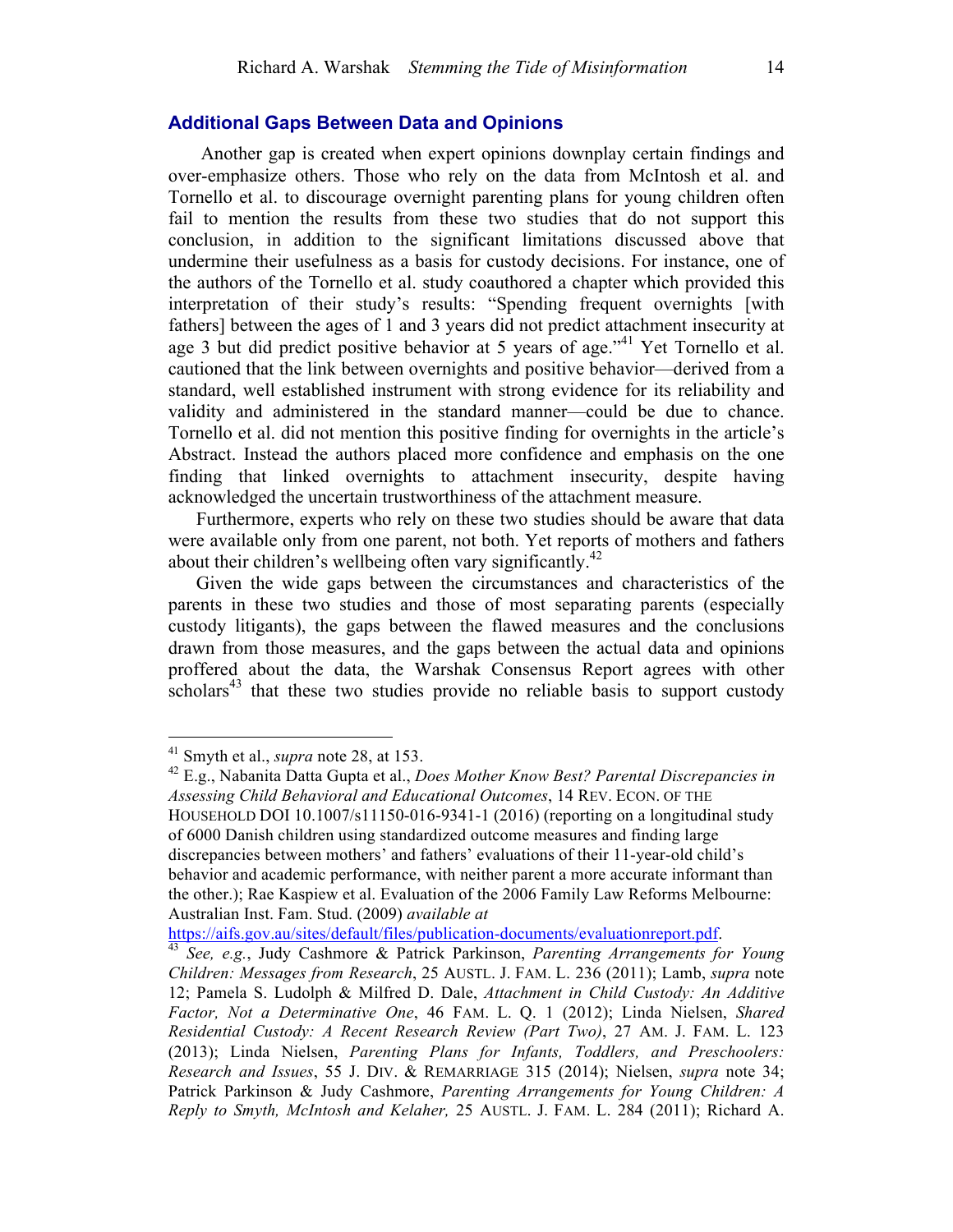#### **Additional Gaps Between Data and Opinions**

 Another gap is created when expert opinions downplay certain findings and over-emphasize others. Those who rely on the data from McIntosh et al. and Tornello et al. to discourage overnight parenting plans for young children often fail to mention the results from these two studies that do not support this conclusion, in addition to the significant limitations discussed above that undermine their usefulness as a basis for custody decisions. For instance, one of the authors of the Tornello et al. study coauthored a chapter which provided this interpretation of their study's results: "Spending frequent overnights [with fathers] between the ages of 1 and 3 years did not predict attachment insecurity at age 3 but did predict positive behavior at 5 years of age."<sup>41</sup> Yet Tornello et al. cautioned that the link between overnights and positive behavior—derived from a standard, well established instrument with strong evidence for its reliability and validity and administered in the standard manner—could be due to chance. Tornello et al. did not mention this positive finding for overnights in the article's Abstract. Instead the authors placed more confidence and emphasis on the one finding that linked overnights to attachment insecurity, despite having acknowledged the uncertain trustworthiness of the attachment measure.

Furthermore, experts who rely on these two studies should be aware that data were available only from one parent, not both. Yet reports of mothers and fathers about their children's wellbeing often vary significantly.<sup>42</sup>

Given the wide gaps between the circumstances and characteristics of the parents in these two studies and those of most separating parents (especially custody litigants), the gaps between the flawed measures and the conclusions drawn from those measures, and the gaps between the actual data and opinions proffered about the data, the Warshak Consensus Report agrees with other  $s$ cholars<sup>43</sup> that these two studies provide no reliable basis to support custody

https://aifs.gov.au/sites/default/files/publication-documents/evaluationreport.pdf. <sup>43</sup> *See, e.g.*, Judy Cashmore & Patrick Parkinson, *Parenting Arrangements for Young* 

 <sup>41</sup> Smyth et al., *supra* note 28, at 153.

<sup>42</sup> E.g., Nabanita Datta Gupta et al., *Does Mother Know Best? Parental Discrepancies in Assessing Child Behavioral and Educational Outcomes*, 14 REV. ECON. OF THE HOUSEHOLD DOI 10.1007/s11150-016-9341-1 (2016) (reporting on a longitudinal study of 6000 Danish children using standardized outcome measures and finding large discrepancies between mothers' and fathers' evaluations of their 11-year-old child's behavior and academic performance, with neither parent a more accurate informant than the other.); Rae Kaspiew et al. Evaluation of the 2006 Family Law Reforms Melbourne: Australian Inst. Fam. Stud. (2009) *available at*

*Children: Messages from Research*, 25 AUSTL. J. FAM. L. 236 (2011); Lamb, *supra* note 12; Pamela S. Ludolph & Milfred D. Dale, *Attachment in Child Custody: An Additive Factor, Not a Determinative One*, 46 FAM. L. Q. 1 (2012); Linda Nielsen, *Shared Residential Custody: A Recent Research Review (Part Two)*, 27 AM. J. FAM. L. 123 (2013); Linda Nielsen, *Parenting Plans for Infants, Toddlers, and Preschoolers: Research and Issues*, 55 J. DIV. & REMARRIAGE 315 (2014); Nielsen, *supra* note 34; Patrick Parkinson & Judy Cashmore, *Parenting Arrangements for Young Children: A Reply to Smyth, McIntosh and Kelaher,* 25 AUSTL. J. FAM. L. 284 (2011); Richard A.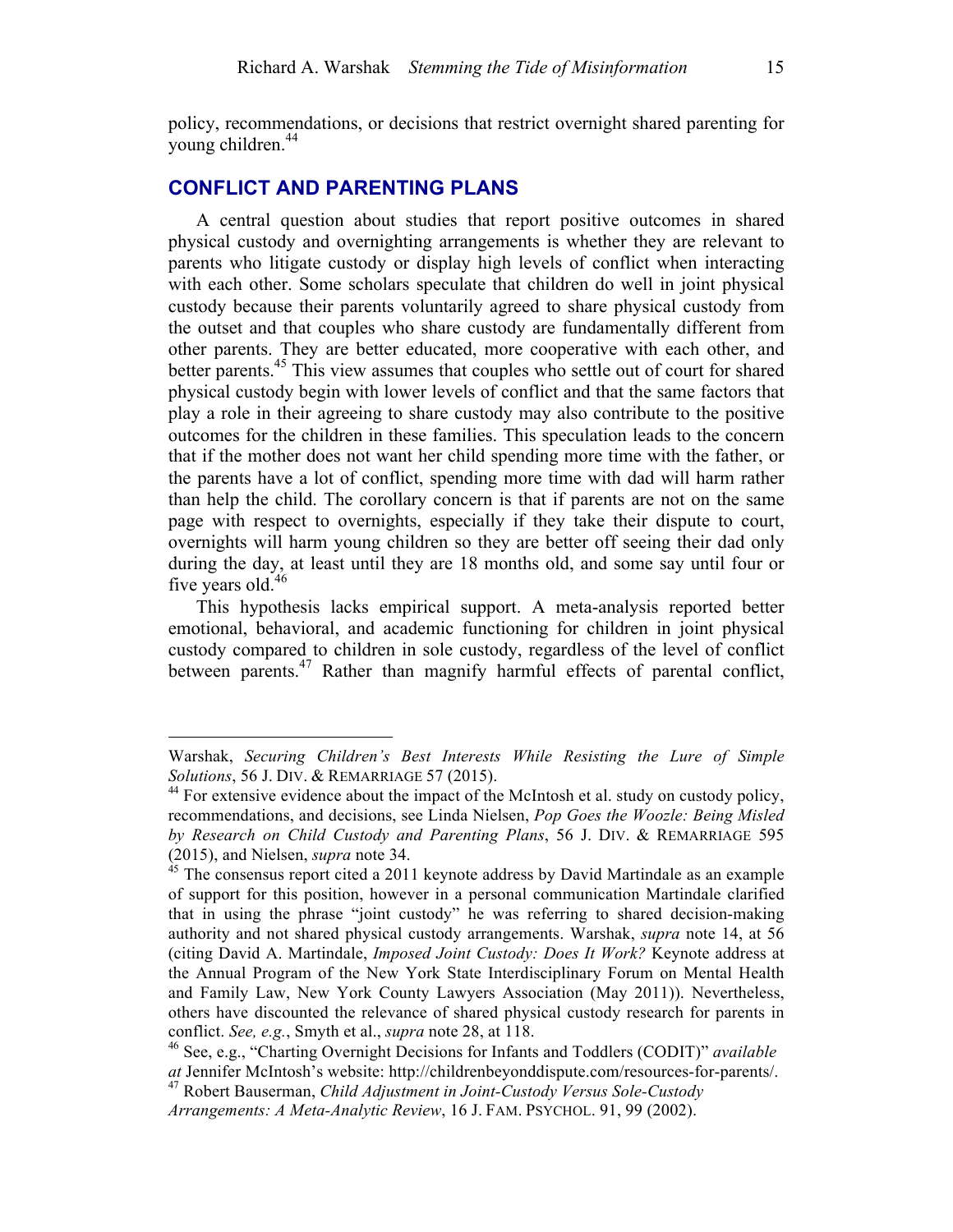policy, recommendations, or decisions that restrict overnight shared parenting for young children.<sup>44</sup>

### **CONFLICT AND PARENTING PLANS**

 $\overline{a}$ 

A central question about studies that report positive outcomes in shared physical custody and overnighting arrangements is whether they are relevant to parents who litigate custody or display high levels of conflict when interacting with each other. Some scholars speculate that children do well in joint physical custody because their parents voluntarily agreed to share physical custody from the outset and that couples who share custody are fundamentally different from other parents. They are better educated, more cooperative with each other, and better parents.<sup>45</sup> This view assumes that couples who settle out of court for shared physical custody begin with lower levels of conflict and that the same factors that play a role in their agreeing to share custody may also contribute to the positive outcomes for the children in these families. This speculation leads to the concern that if the mother does not want her child spending more time with the father, or the parents have a lot of conflict, spending more time with dad will harm rather than help the child. The corollary concern is that if parents are not on the same page with respect to overnights, especially if they take their dispute to court, overnights will harm young children so they are better off seeing their dad only during the day, at least until they are 18 months old, and some say until four or five years old.<sup>46</sup>

This hypothesis lacks empirical support. A meta-analysis reported better emotional, behavioral, and academic functioning for children in joint physical custody compared to children in sole custody, regardless of the level of conflict between parents.<sup>47</sup> Rather than magnify harmful effects of parental conflict,

Warshak, *Securing Children's Best Interests While Resisting the Lure of Simple Solutions*, 56 J. DIV. & REMARRIAGE 57 (2015).

<sup>&</sup>lt;sup>44</sup> For extensive evidence about the impact of the McIntosh et al. study on custody policy, recommendations, and decisions, see Linda Nielsen, *Pop Goes the Woozle: Being Misled by Research on Child Custody and Parenting Plans*, 56 J. DIV. & REMARRIAGE 595 (2015), and Nielsen, *supra* note 34.<br><sup>45</sup> The consensus report cited a 2011 keynote address by David Martindale as an example

of support for this position, however in a personal communication Martindale clarified that in using the phrase "joint custody" he was referring to shared decision-making authority and not shared physical custody arrangements. Warshak, *supra* note 14, at 56 (citing David A. Martindale, *Imposed Joint Custody: Does It Work?* Keynote address at the Annual Program of the New York State Interdisciplinary Forum on Mental Health and Family Law, New York County Lawyers Association (May 2011)). Nevertheless, others have discounted the relevance of shared physical custody research for parents in conflict. *See, e.g.*, Smyth et al., *supra* note 28, at 118.

<sup>46</sup> See, e.g., "Charting Overnight Decisions for Infants and Toddlers (CODIT)" *available at* Jennifer McIntosh's website: http://childrenbeyonddispute.com/resources-for-parents/. 47 Robert Bauserman, *Child Adjustment in Joint-Custody Versus Sole-Custody*

*Arrangements: A Meta-Analytic Review*, 16 J. FAM. PSYCHOL. 91, 99 (2002).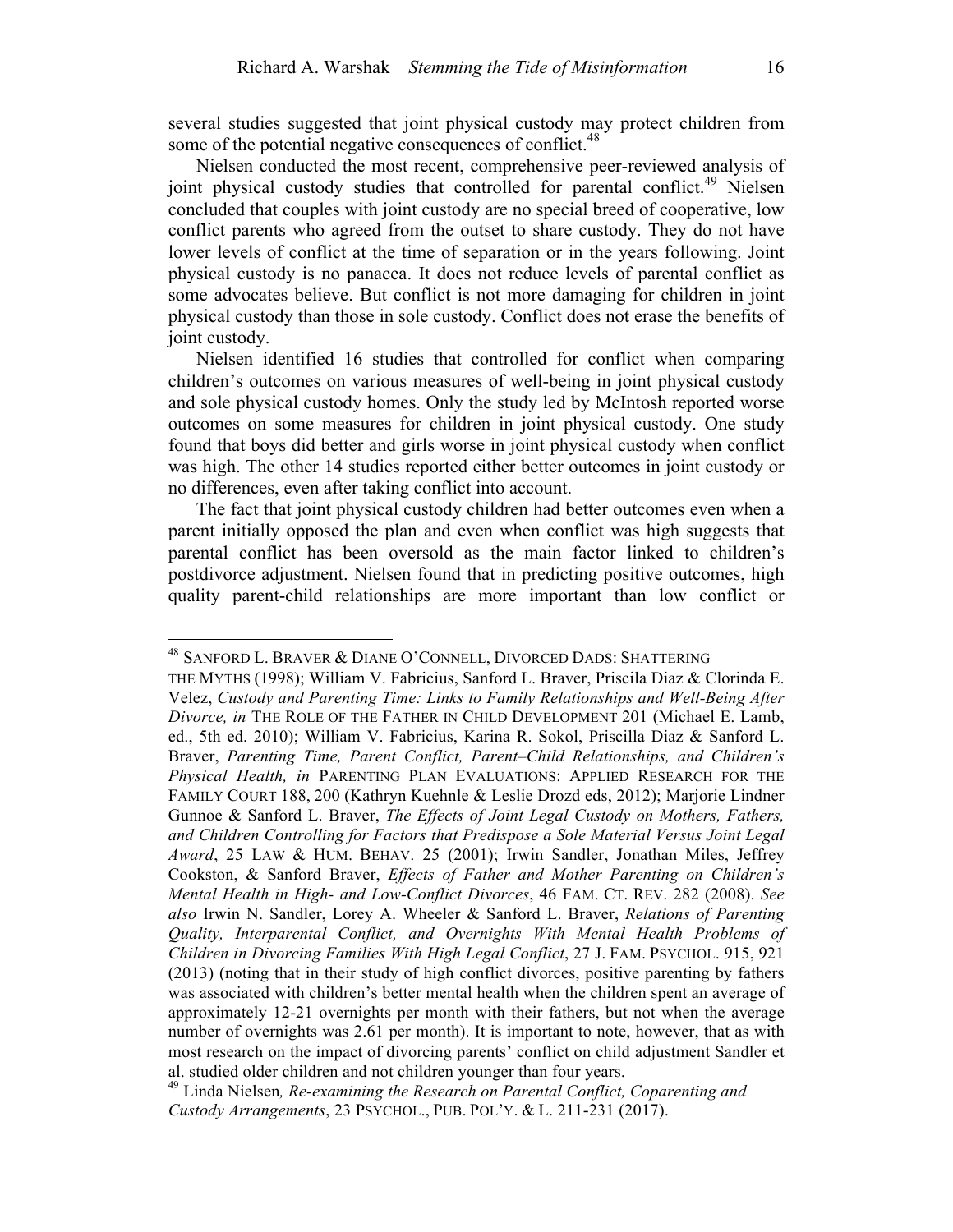several studies suggested that joint physical custody may protect children from some of the potential negative consequences of conflict.<sup>48</sup>

Nielsen conducted the most recent, comprehensive peer-reviewed analysis of joint physical custody studies that controlled for parental conflict.<sup>49</sup> Nielsen concluded that couples with joint custody are no special breed of cooperative, low conflict parents who agreed from the outset to share custody. They do not have lower levels of conflict at the time of separation or in the years following. Joint physical custody is no panacea. It does not reduce levels of parental conflict as some advocates believe. But conflict is not more damaging for children in joint physical custody than those in sole custody. Conflict does not erase the benefits of joint custody.

Nielsen identified 16 studies that controlled for conflict when comparing children's outcomes on various measures of well-being in joint physical custody and sole physical custody homes. Only the study led by McIntosh reported worse outcomes on some measures for children in joint physical custody. One study found that boys did better and girls worse in joint physical custody when conflict was high. The other 14 studies reported either better outcomes in joint custody or no differences, even after taking conflict into account.

The fact that joint physical custody children had better outcomes even when a parent initially opposed the plan and even when conflict was high suggests that parental conflict has been oversold as the main factor linked to children's postdivorce adjustment. Nielsen found that in predicting positive outcomes, high quality parent-child relationships are more important than low conflict or

<sup>&</sup>lt;sup>48</sup> SANFORD L. BRAVER & DIANE O'CONNELL, DIVORCED DADS: SHATTERING

THE MYTHS (1998); William V. Fabricius, Sanford L. Braver, Priscila Diaz & Clorinda E. Velez, *Custody and Parenting Time: Links to Family Relationships and Well-Being After Divorce, in* THE ROLE OF THE FATHER IN CHILD DEVELOPMENT 201 (Michael E. Lamb, ed., 5th ed. 2010); William V. Fabricius, Karina R. Sokol, Priscilla Diaz & Sanford L. Braver, *Parenting Time, Parent Conflict, Parent–Child Relationships, and Children's Physical Health, in* PARENTING PLAN EVALUATIONS: APPLIED RESEARCH FOR THE FAMILY COURT 188, 200 (Kathryn Kuehnle & Leslie Drozd eds, 2012); Marjorie Lindner Gunnoe & Sanford L. Braver, *The Effects of Joint Legal Custody on Mothers, Fathers, and Children Controlling for Factors that Predispose a Sole Material Versus Joint Legal Award*, 25 LAW & HUM. BEHAV. 25 (2001); Irwin Sandler, Jonathan Miles, Jeffrey Cookston, & Sanford Braver, *Effects of Father and Mother Parenting on Children's Mental Health in High- and Low-Conflict Divorces*, 46 FAM. CT. REV. 282 (2008). *See also* Irwin N. Sandler, Lorey A. Wheeler & Sanford L. Braver, *Relations of Parenting Quality, Interparental Conflict, and Overnights With Mental Health Problems of Children in Divorcing Families With High Legal Conflict*, 27 J. FAM. PSYCHOL. 915, 921 (2013) (noting that in their study of high conflict divorces, positive parenting by fathers was associated with children's better mental health when the children spent an average of approximately 12-21 overnights per month with their fathers, but not when the average number of overnights was 2.61 per month). It is important to note, however, that as with most research on the impact of divorcing parents' conflict on child adjustment Sandler et al. studied older children and not children younger than four years.

<sup>49</sup> Linda Nielsen*, Re-examining the Research on Parental Conflict, Coparenting and Custody Arrangements*, 23 PSYCHOL., PUB. POL'Y. & L. 211-231 (2017).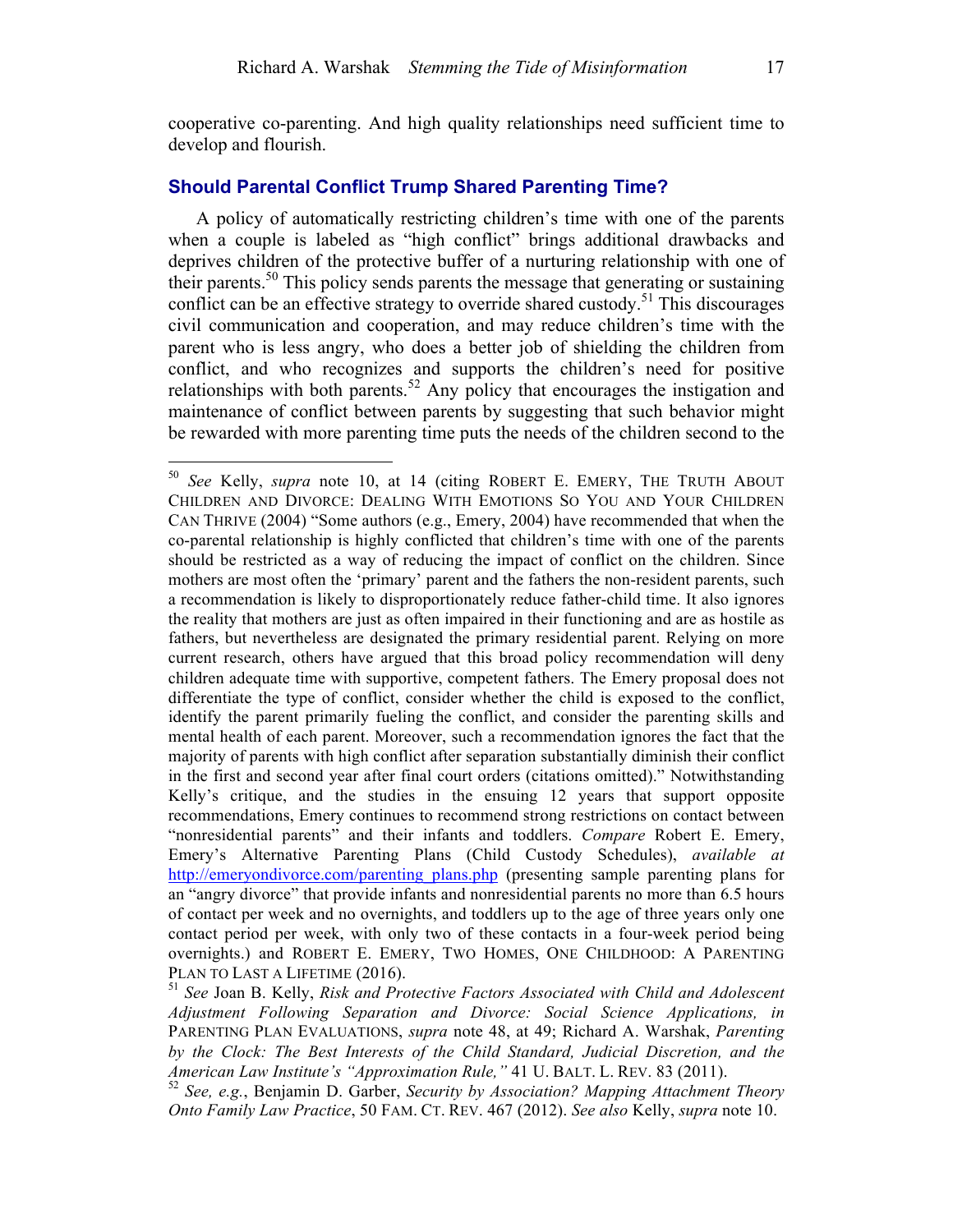cooperative co-parenting. And high quality relationships need sufficient time to develop and flourish.

### **Should Parental Conflict Trump Shared Parenting Time?**

A policy of automatically restricting children's time with one of the parents when a couple is labeled as "high conflict" brings additional drawbacks and deprives children of the protective buffer of a nurturing relationship with one of their parents.<sup>50</sup> This policy sends parents the message that generating or sustaining conflict can be an effective strategy to override shared custody.<sup>51</sup> This discourages civil communication and cooperation, and may reduce children's time with the parent who is less angry, who does a better job of shielding the children from conflict, and who recognizes and supports the children's need for positive relationships with both parents.<sup>52</sup> Any policy that encourages the instigation and maintenance of conflict between parents by suggesting that such behavior might be rewarded with more parenting time puts the needs of the children second to the

 <sup>50</sup> *See* Kelly, *supra* note 10, at 14 (citing ROBERT E. EMERY, THE TRUTH ABOUT CHILDREN AND DIVORCE: DEALING WITH EMOTIONS SO YOU AND YOUR CHILDREN CAN THRIVE (2004) "Some authors (e.g., Emery, 2004) have recommended that when the co-parental relationship is highly conflicted that children's time with one of the parents should be restricted as a way of reducing the impact of conflict on the children. Since mothers are most often the 'primary' parent and the fathers the non-resident parents, such a recommendation is likely to disproportionately reduce father-child time. It also ignores the reality that mothers are just as often impaired in their functioning and are as hostile as fathers, but nevertheless are designated the primary residential parent. Relying on more current research, others have argued that this broad policy recommendation will deny children adequate time with supportive, competent fathers. The Emery proposal does not differentiate the type of conflict, consider whether the child is exposed to the conflict, identify the parent primarily fueling the conflict, and consider the parenting skills and mental health of each parent. Moreover, such a recommendation ignores the fact that the majority of parents with high conflict after separation substantially diminish their conflict in the first and second year after final court orders (citations omitted)." Notwithstanding Kelly's critique, and the studies in the ensuing 12 years that support opposite recommendations, Emery continues to recommend strong restrictions on contact between "nonresidential parents" and their infants and toddlers. *Compare* Robert E. Emery, Emery's Alternative Parenting Plans (Child Custody Schedules), *available at* http://emeryondivorce.com/parenting plans.php (presenting sample parenting plans for an "angry divorce" that provide infants and nonresidential parents no more than 6.5 hours of contact per week and no overnights, and toddlers up to the age of three years only one contact period per week, with only two of these contacts in a four-week period being overnights.) and ROBERT E. EMERY, TWO HOMES, ONE CHILDHOOD: A PARENTING PLAN TO LAST A LIFETIME (2016).

<sup>51</sup> *See* Joan B. Kelly, *Risk and Protective Factors Associated with Child and Adolescent Adjustment Following Separation and Divorce: Social Science Applications, in* PARENTING PLAN EVALUATIONS, *supra* note 48, at 49; Richard A. Warshak, *Parenting by the Clock: The Best Interests of the Child Standard, Judicial Discretion, and the American Law Institute's "Approximation Rule,"* 41 U. BALT. L. REV. 83 (2011).

<sup>52</sup> *See, e.g.*, Benjamin D. Garber, *Security by Association? Mapping Attachment Theory Onto Family Law Practice*, 50 FAM. CT. REV. 467 (2012). *See also* Kelly, *supra* note 10.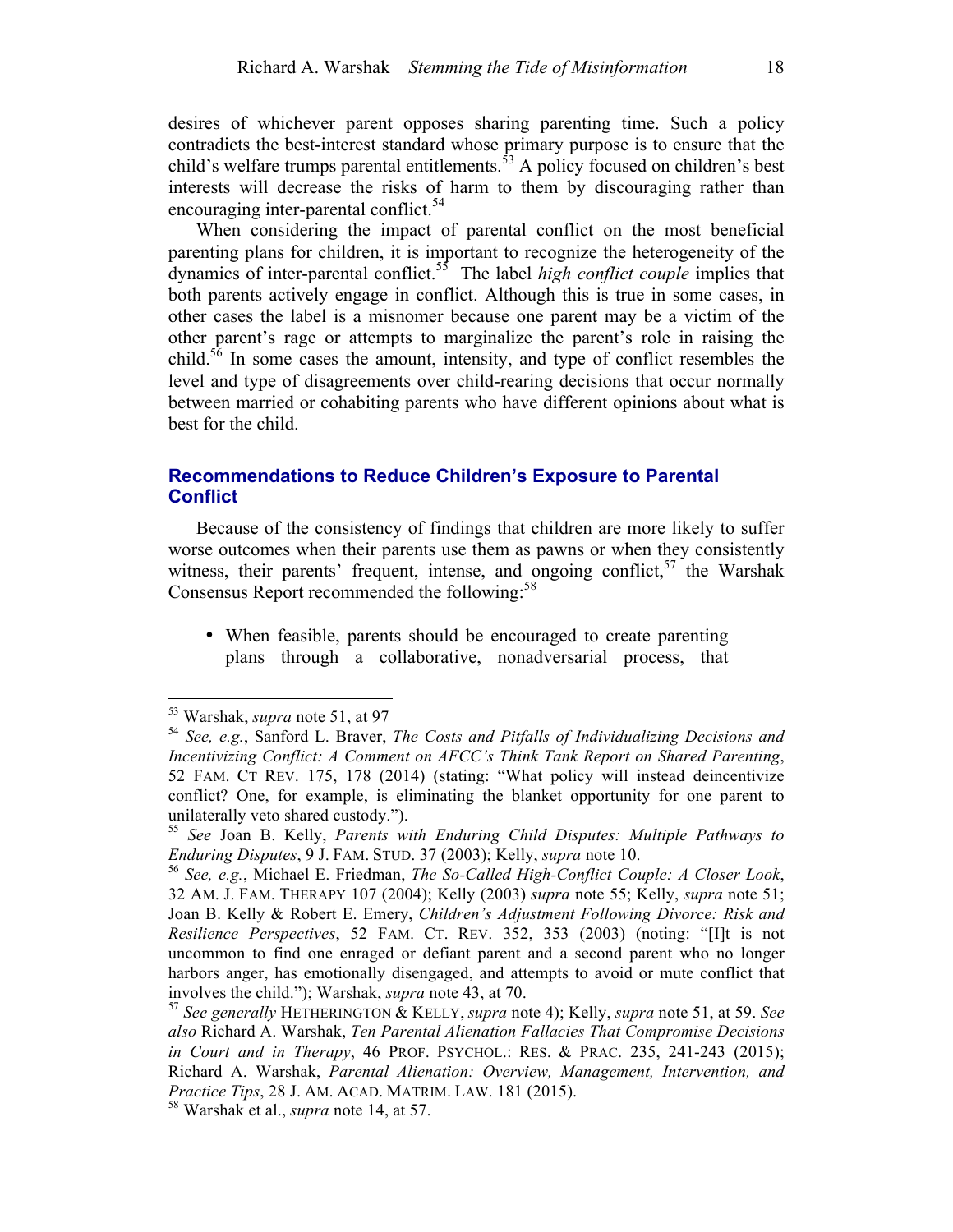desires of whichever parent opposes sharing parenting time. Such a policy contradicts the best-interest standard whose primary purpose is to ensure that the child's welfare trumps parental entitlements.<sup>53</sup> A policy focused on children's best interests will decrease the risks of harm to them by discouraging rather than encouraging inter-parental conflict.<sup>54</sup>

When considering the impact of parental conflict on the most beneficial parenting plans for children, it is important to recognize the heterogeneity of the dynamics of inter-parental conflict.<sup>55</sup> The label *high conflict couple* implies that both parents actively engage in conflict. Although this is true in some cases, in other cases the label is a misnomer because one parent may be a victim of the other parent's rage or attempts to marginalize the parent's role in raising the child.<sup>56</sup> In some cases the amount, intensity, and type of conflict resembles the level and type of disagreements over child-rearing decisions that occur normally between married or cohabiting parents who have different opinions about what is best for the child.

### **Recommendations to Reduce Children's Exposure to Parental Conflict**

Because of the consistency of findings that children are more likely to suffer worse outcomes when their parents use them as pawns or when they consistently witness, their parents' frequent, intense, and ongoing conflict,  $57$  the Warshak Consensus Report recommended the following:<sup>58</sup>

• When feasible, parents should be encouraged to create parenting plans through a collaborative, nonadversarial process, that

 <sup>53</sup> Warshak, *supra* note 51, at 97

<sup>54</sup> *See, e.g.*, Sanford L. Braver, *The Costs and Pitfalls of Individualizing Decisions and Incentivizing Conflict: A Comment on AFCC's Think Tank Report on Shared Parenting*, 52 FAM. CT REV. 175, 178 (2014) (stating: "What policy will instead deincentivize conflict? One, for example, is eliminating the blanket opportunity for one parent to unilaterally veto shared custody.").

<sup>55</sup> *See* Joan B. Kelly, *Parents with Enduring Child Disputes: Multiple Pathways to Enduring Disputes*, 9 J. FAM. STUD. 37 (2003); Kelly, *supra* note 10.<br><sup>56</sup> *See, e.g., Michael E. Friedman, The So-Called High-Conflict Couple: A Closer Look,* 

<sup>32</sup> AM. J. FAM. THERAPY 107 (2004); Kelly (2003) *supra* note 55; Kelly, *supra* note 51; Joan B. Kelly & Robert E. Emery, *Children's Adjustment Following Divorce: Risk and Resilience Perspectives*, 52 FAM. CT. REV. 352, 353 (2003) (noting: "[I]t is not uncommon to find one enraged or defiant parent and a second parent who no longer harbors anger, has emotionally disengaged, and attempts to avoid or mute conflict that involves the child."); Warshak, *supra* note 43, at 70.

<sup>57</sup> *See generally* HETHERINGTON & KELLY, *supra* note 4); Kelly, *supra* note 51, at 59. *See also* Richard A. Warshak, *Ten Parental Alienation Fallacies That Compromise Decisions in Court and in Therapy*, 46 PROF. PSYCHOL.: RES. & PRAC. 235, 241-243 (2015); Richard A. Warshak, *Parental Alienation: Overview, Management, Intervention, and Practice Tips*, 28 J. AM. ACAD. MATRIM. LAW. 181 (2015).

<sup>58</sup> Warshak et al., *supra* note 14, at 57.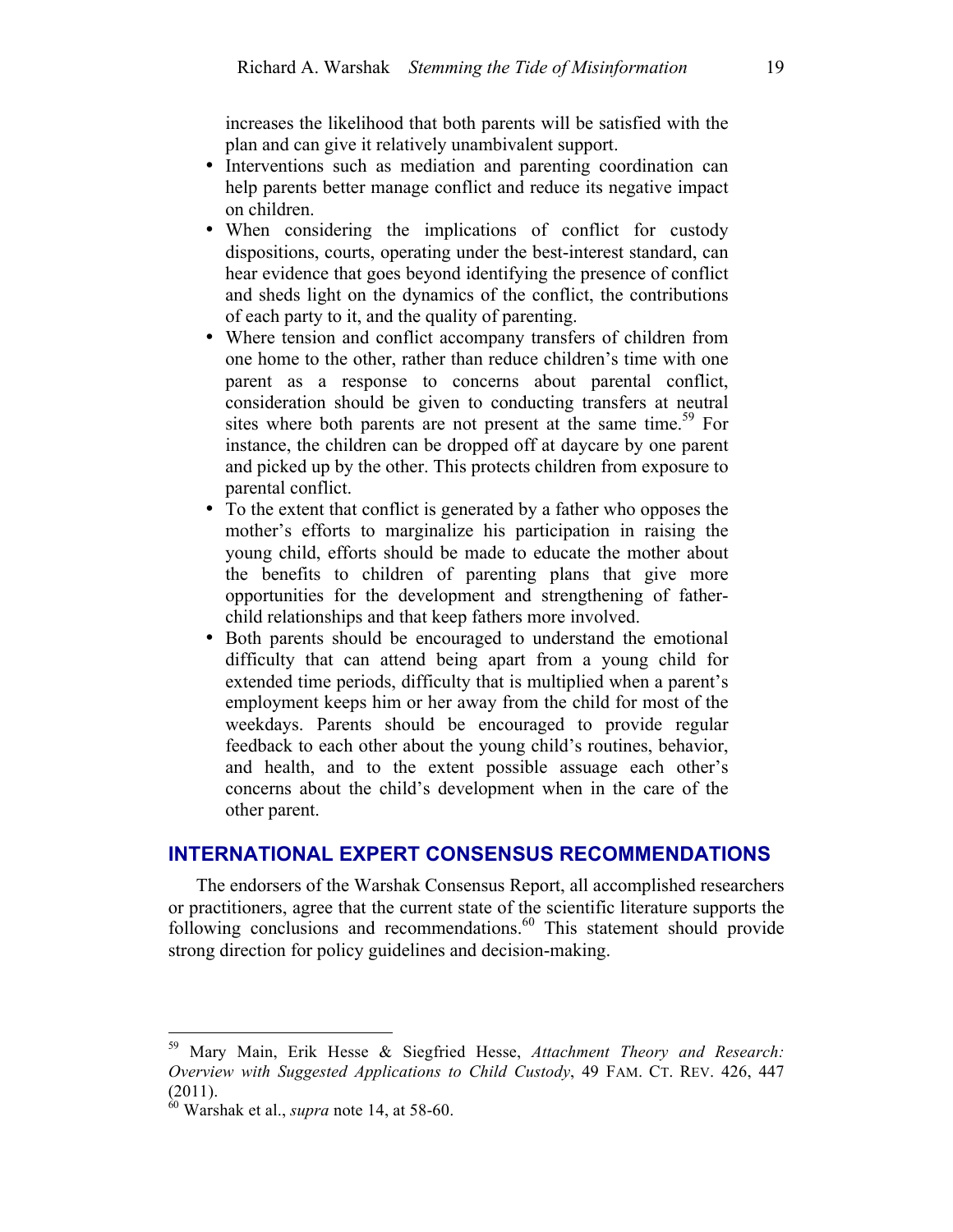increases the likelihood that both parents will be satisfied with the plan and can give it relatively unambivalent support.

- Interventions such as mediation and parenting coordination can help parents better manage conflict and reduce its negative impact on children.
- When considering the implications of conflict for custody dispositions, courts, operating under the best-interest standard, can hear evidence that goes beyond identifying the presence of conflict and sheds light on the dynamics of the conflict, the contributions of each party to it, and the quality of parenting.
- Where tension and conflict accompany transfers of children from one home to the other, rather than reduce children's time with one parent as a response to concerns about parental conflict, consideration should be given to conducting transfers at neutral sites where both parents are not present at the same time.<sup>59</sup> For instance, the children can be dropped off at daycare by one parent and picked up by the other. This protects children from exposure to parental conflict.
- To the extent that conflict is generated by a father who opposes the mother's efforts to marginalize his participation in raising the young child, efforts should be made to educate the mother about the benefits to children of parenting plans that give more opportunities for the development and strengthening of fatherchild relationships and that keep fathers more involved.
- Both parents should be encouraged to understand the emotional difficulty that can attend being apart from a young child for extended time periods, difficulty that is multiplied when a parent's employment keeps him or her away from the child for most of the weekdays. Parents should be encouraged to provide regular feedback to each other about the young child's routines, behavior, and health, and to the extent possible assuage each other's concerns about the child's development when in the care of the other parent.

### **INTERNATIONAL EXPERT CONSENSUS RECOMMENDATIONS**

The endorsers of the Warshak Consensus Report, all accomplished researchers or practitioners, agree that the current state of the scientific literature supports the following conclusions and recommendations.<sup>60</sup> This statement should provide strong direction for policy guidelines and decision-making.

 <sup>59</sup> Mary Main, Erik Hesse & Siegfried Hesse, *Attachment Theory and Research: Overview with Suggested Applications to Child Custody*, 49 FAM. CT. REV. 426, 447 (2011).

<sup>60</sup> Warshak et al., *supra* note 14, at 58-60.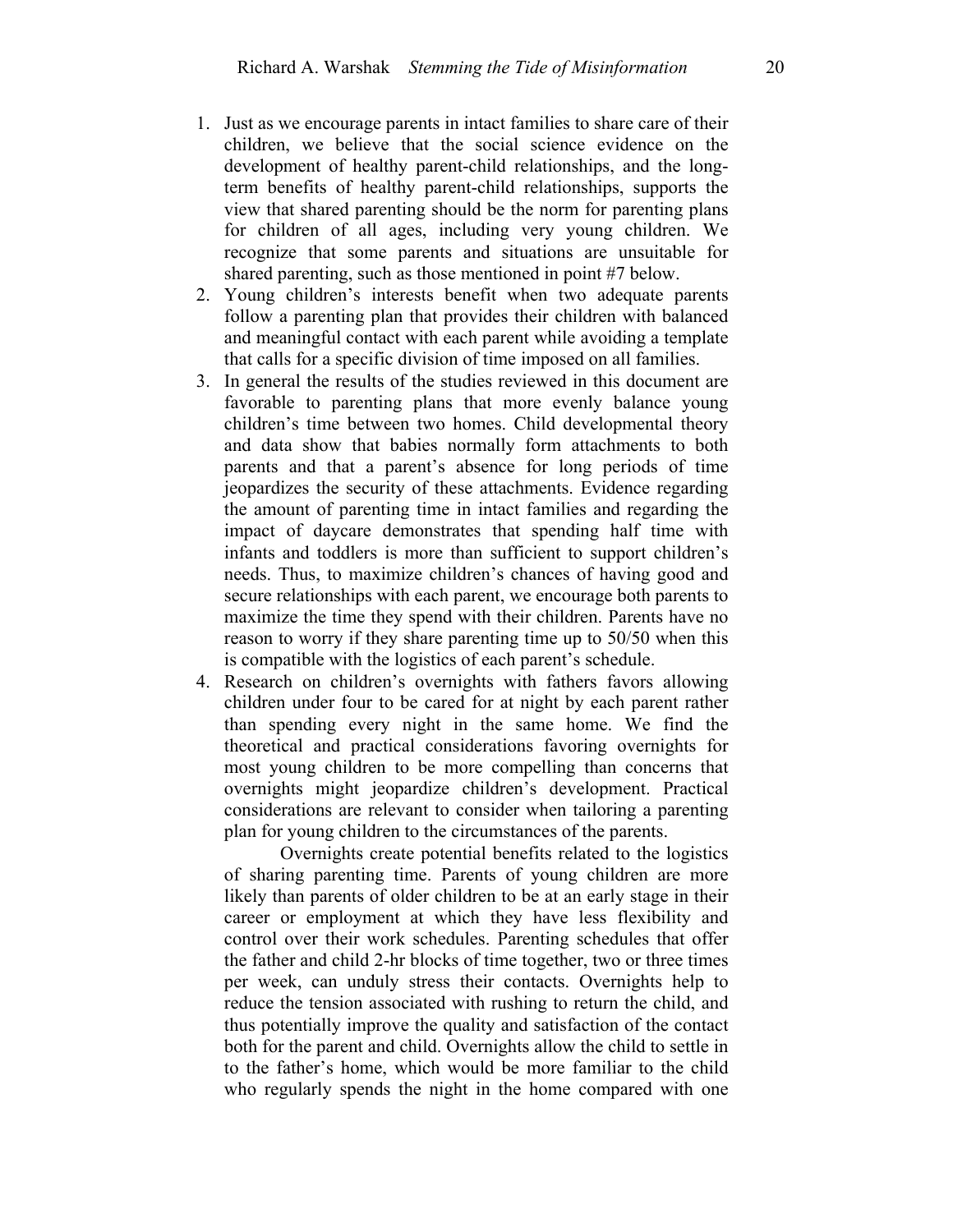- 1. Just as we encourage parents in intact families to share care of their children, we believe that the social science evidence on the development of healthy parent-child relationships, and the longterm benefits of healthy parent-child relationships, supports the view that shared parenting should be the norm for parenting plans for children of all ages, including very young children. We recognize that some parents and situations are unsuitable for shared parenting, such as those mentioned in point #7 below.
- 2. Young children's interests benefit when two adequate parents follow a parenting plan that provides their children with balanced and meaningful contact with each parent while avoiding a template that calls for a specific division of time imposed on all families.
- 3. In general the results of the studies reviewed in this document are favorable to parenting plans that more evenly balance young children's time between two homes. Child developmental theory and data show that babies normally form attachments to both parents and that a parent's absence for long periods of time jeopardizes the security of these attachments. Evidence regarding the amount of parenting time in intact families and regarding the impact of daycare demonstrates that spending half time with infants and toddlers is more than sufficient to support children's needs. Thus, to maximize children's chances of having good and secure relationships with each parent, we encourage both parents to maximize the time they spend with their children. Parents have no reason to worry if they share parenting time up to 50/50 when this is compatible with the logistics of each parent's schedule.
- 4. Research on children's overnights with fathers favors allowing children under four to be cared for at night by each parent rather than spending every night in the same home. We find the theoretical and practical considerations favoring overnights for most young children to be more compelling than concerns that overnights might jeopardize children's development. Practical considerations are relevant to consider when tailoring a parenting plan for young children to the circumstances of the parents.

Overnights create potential benefits related to the logistics of sharing parenting time. Parents of young children are more likely than parents of older children to be at an early stage in their career or employment at which they have less flexibility and control over their work schedules. Parenting schedules that offer the father and child 2-hr blocks of time together, two or three times per week, can unduly stress their contacts. Overnights help to reduce the tension associated with rushing to return the child, and thus potentially improve the quality and satisfaction of the contact both for the parent and child. Overnights allow the child to settle in to the father's home, which would be more familiar to the child who regularly spends the night in the home compared with one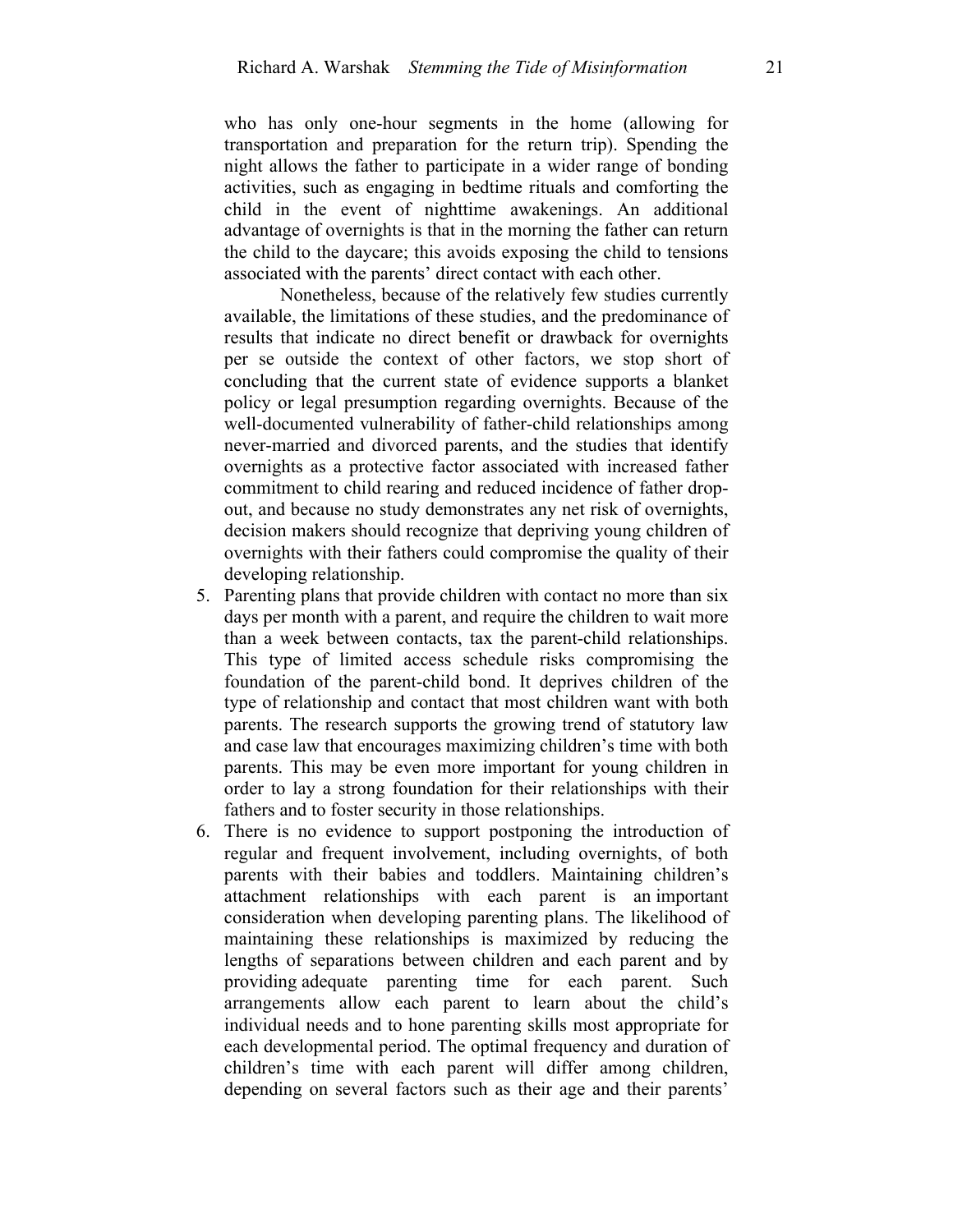who has only one-hour segments in the home (allowing for transportation and preparation for the return trip). Spending the night allows the father to participate in a wider range of bonding activities, such as engaging in bedtime rituals and comforting the child in the event of nighttime awakenings. An additional advantage of overnights is that in the morning the father can return the child to the daycare; this avoids exposing the child to tensions associated with the parents' direct contact with each other.

Nonetheless, because of the relatively few studies currently available, the limitations of these studies, and the predominance of results that indicate no direct benefit or drawback for overnights per se outside the context of other factors, we stop short of concluding that the current state of evidence supports a blanket policy or legal presumption regarding overnights. Because of the well-documented vulnerability of father-child relationships among never-married and divorced parents, and the studies that identify overnights as a protective factor associated with increased father commitment to child rearing and reduced incidence of father dropout, and because no study demonstrates any net risk of overnights, decision makers should recognize that depriving young children of overnights with their fathers could compromise the quality of their developing relationship.

- 5. Parenting plans that provide children with contact no more than six days per month with a parent, and require the children to wait more than a week between contacts, tax the parent-child relationships. This type of limited access schedule risks compromising the foundation of the parent-child bond. It deprives children of the type of relationship and contact that most children want with both parents. The research supports the growing trend of statutory law and case law that encourages maximizing children's time with both parents. This may be even more important for young children in order to lay a strong foundation for their relationships with their fathers and to foster security in those relationships.
- 6. There is no evidence to support postponing the introduction of regular and frequent involvement, including overnights, of both parents with their babies and toddlers. Maintaining children's attachment relationships with each parent is an important consideration when developing parenting plans. The likelihood of maintaining these relationships is maximized by reducing the lengths of separations between children and each parent and by providing adequate parenting time for each parent. Such arrangements allow each parent to learn about the child's individual needs and to hone parenting skills most appropriate for each developmental period. The optimal frequency and duration of children's time with each parent will differ among children, depending on several factors such as their age and their parents'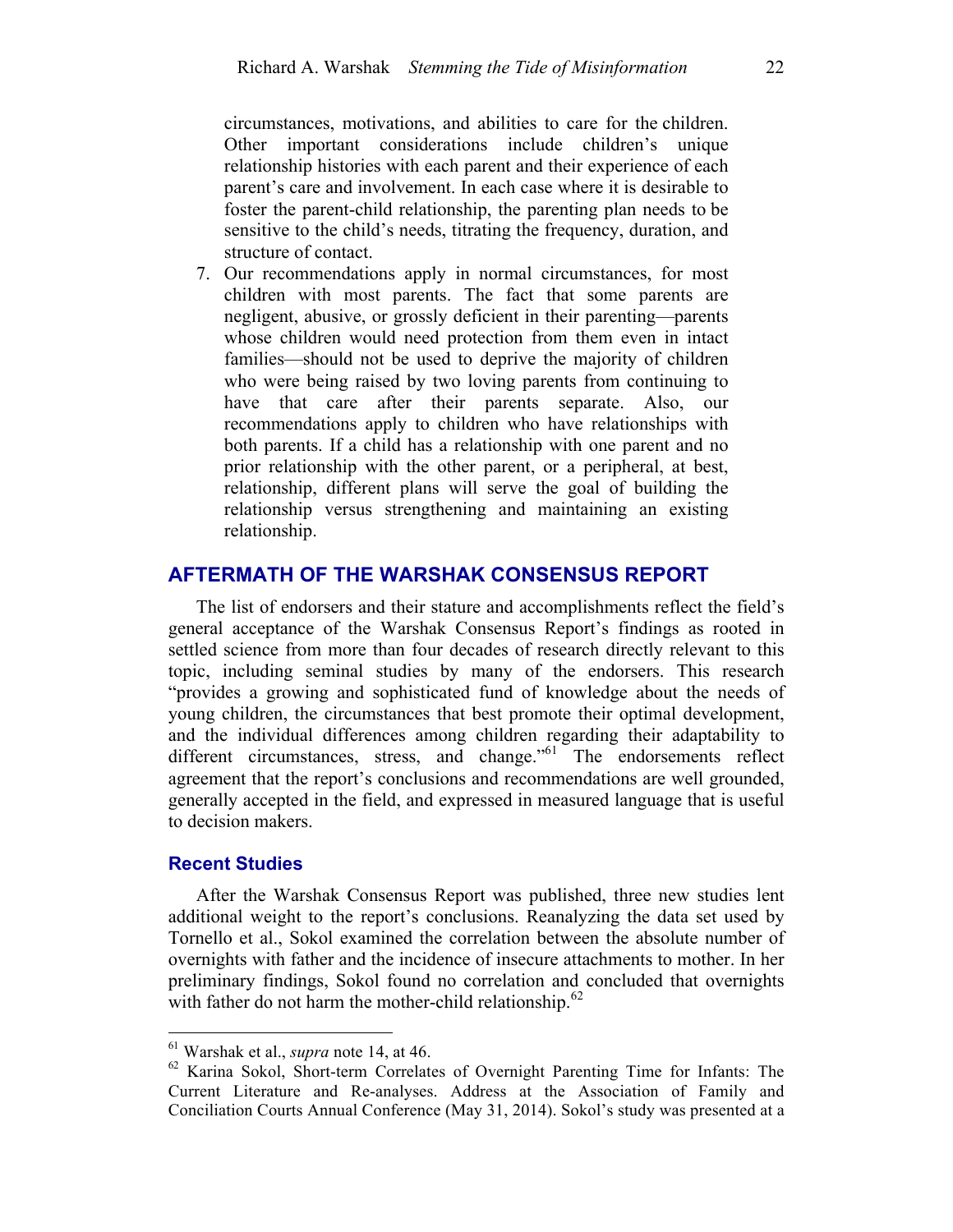circumstances, motivations, and abilities to care for the children. Other important considerations include children's unique relationship histories with each parent and their experience of each parent's care and involvement. In each case where it is desirable to foster the parent-child relationship, the parenting plan needs to be sensitive to the child's needs, titrating the frequency, duration, and structure of contact.

7. Our recommendations apply in normal circumstances, for most children with most parents. The fact that some parents are negligent, abusive, or grossly deficient in their parenting—parents whose children would need protection from them even in intact families—should not be used to deprive the majority of children who were being raised by two loving parents from continuing to have that care after their parents separate. Also, our recommendations apply to children who have relationships with both parents. If a child has a relationship with one parent and no prior relationship with the other parent, or a peripheral, at best, relationship, different plans will serve the goal of building the relationship versus strengthening and maintaining an existing relationship.

### **AFTERMATH OF THE WARSHAK CONSENSUS REPORT**

The list of endorsers and their stature and accomplishments reflect the field's general acceptance of the Warshak Consensus Report's findings as rooted in settled science from more than four decades of research directly relevant to this topic, including seminal studies by many of the endorsers. This research "provides a growing and sophisticated fund of knowledge about the needs of young children, the circumstances that best promote their optimal development, and the individual differences among children regarding their adaptability to different circumstances, stress, and change."<sup>61</sup> The endorsements reflect agreement that the report's conclusions and recommendations are well grounded, generally accepted in the field, and expressed in measured language that is useful to decision makers.

### **Recent Studies**

After the Warshak Consensus Report was published, three new studies lent additional weight to the report's conclusions. Reanalyzing the data set used by Tornello et al., Sokol examined the correlation between the absolute number of overnights with father and the incidence of insecure attachments to mother. In her preliminary findings, Sokol found no correlation and concluded that overnights with father do not harm the mother-child relationship.<sup>62</sup>

 <sup>61</sup> Warshak et al., *supra* note 14, at 46.

<sup>62</sup> Karina Sokol, Short-term Correlates of Overnight Parenting Time for Infants: The Current Literature and Re-analyses. Address at the Association of Family and Conciliation Courts Annual Conference (May 31, 2014). Sokol's study was presented at a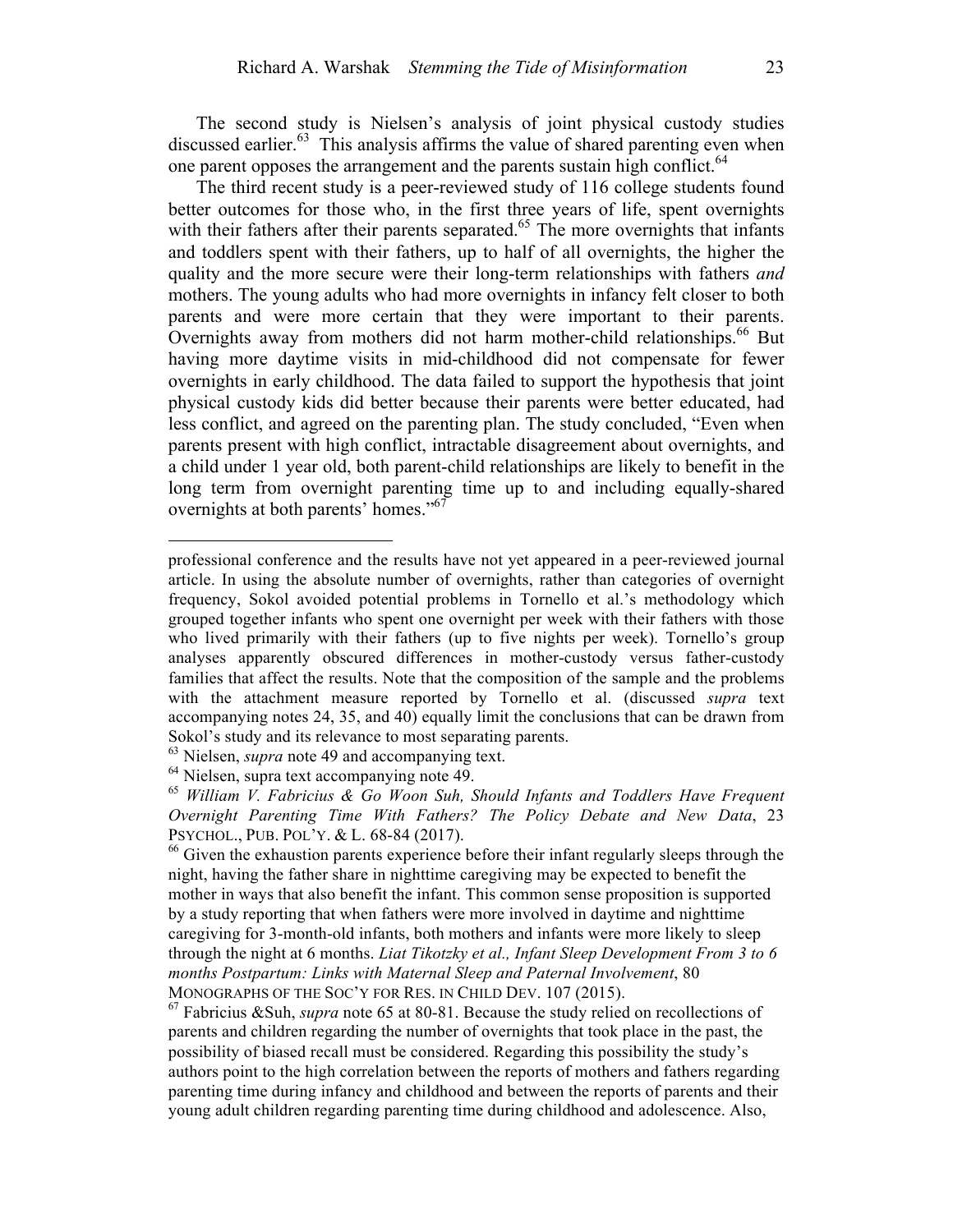The second study is Nielsen's analysis of joint physical custody studies discussed earlier. $63$  This analysis affirms the value of shared parenting even when one parent opposes the arrangement and the parents sustain high conflict.<sup>64</sup>

The third recent study is a peer-reviewed study of 116 college students found better outcomes for those who, in the first three years of life, spent overnights with their fathers after their parents separated.<sup>65</sup> The more overnights that infants and toddlers spent with their fathers, up to half of all overnights, the higher the quality and the more secure were their long-term relationships with fathers *and* mothers. The young adults who had more overnights in infancy felt closer to both parents and were more certain that they were important to their parents. Overnights away from mothers did not harm mother-child relationships.<sup>66</sup> But having more daytime visits in mid-childhood did not compensate for fewer overnights in early childhood. The data failed to support the hypothesis that joint physical custody kids did better because their parents were better educated, had less conflict, and agreed on the parenting plan. The study concluded, "Even when parents present with high conflict, intractable disagreement about overnights, and a child under 1 year old, both parent-child relationships are likely to benefit in the long term from overnight parenting time up to and including equally-shared overnights at both parents' homes."<sup>67</sup>

 $\overline{a}$ 

professional conference and the results have not yet appeared in a peer-reviewed journal article. In using the absolute number of overnights, rather than categories of overnight frequency, Sokol avoided potential problems in Tornello et al.'s methodology which grouped together infants who spent one overnight per week with their fathers with those who lived primarily with their fathers (up to five nights per week). Tornello's group analyses apparently obscured differences in mother-custody versus father-custody families that affect the results. Note that the composition of the sample and the problems with the attachment measure reported by Tornello et al. (discussed *supra* text accompanying notes 24, 35, and 40) equally limit the conclusions that can be drawn from Sokol's study and its relevance to most separating parents.

 $^{63}$  Nielsen, *supra* note 49 and accompanying text.<br> $^{64}$  Nielsen, supra text accompanying note 49.

<sup>&</sup>lt;sup>65</sup> William V. Fabricius & Go Woon Suh, Should Infants and Toddlers Have Frequent *Overnight Parenting Time With Fathers? The Policy Debate and New Data*, 23 PSYCHOL., PUB. POL'Y. & L. 68-84 (2017).

<sup>&</sup>lt;sup>66</sup> Given the exhaustion parents experience before their infant regularly sleeps through the night, having the father share in nighttime caregiving may be expected to benefit the mother in ways that also benefit the infant. This common sense proposition is supported by a study reporting that when fathers were more involved in daytime and nighttime caregiving for 3-month-old infants, both mothers and infants were more likely to sleep through the night at 6 months. *Liat Tikotzky et al., Infant Sleep Development From 3 to 6 months Postpartum: Links with Maternal Sleep and Paternal Involvement*, 80 MONOGRAPHS OF THE SOC'Y FOR RES. IN CHILD DEV. 107 (2015).

<sup>67</sup> Fabricius &Suh, *supra* note 65 at 80-81. Because the study relied on recollections of parents and children regarding the number of overnights that took place in the past, the possibility of biased recall must be considered. Regarding this possibility the study's authors point to the high correlation between the reports of mothers and fathers regarding parenting time during infancy and childhood and between the reports of parents and their young adult children regarding parenting time during childhood and adolescence. Also,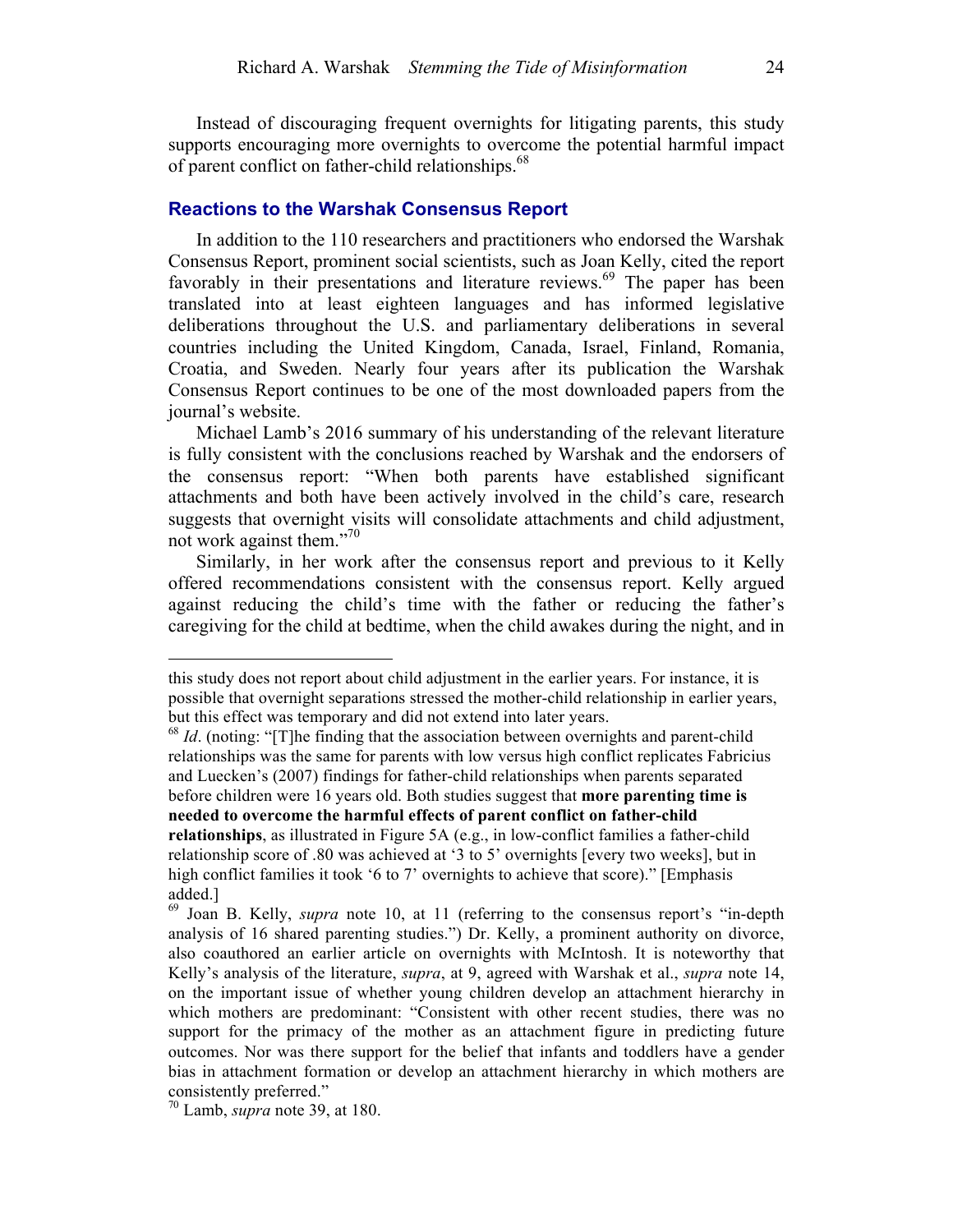Instead of discouraging frequent overnights for litigating parents, this study supports encouraging more overnights to overcome the potential harmful impact of parent conflict on father-child relationships.<sup>68</sup>

### **Reactions to the Warshak Consensus Report**

In addition to the 110 researchers and practitioners who endorsed the Warshak Consensus Report, prominent social scientists, such as Joan Kelly, cited the report favorably in their presentations and literature reviews.<sup>69</sup> The paper has been translated into at least eighteen languages and has informed legislative deliberations throughout the U.S. and parliamentary deliberations in several countries including the United Kingdom, Canada, Israel, Finland, Romania, Croatia, and Sweden. Nearly four years after its publication the Warshak Consensus Report continues to be one of the most downloaded papers from the journal's website.

Michael Lamb's 2016 summary of his understanding of the relevant literature is fully consistent with the conclusions reached by Warshak and the endorsers of the consensus report: "When both parents have established significant attachments and both have been actively involved in the child's care, research suggests that overnight visits will consolidate attachments and child adjustment, not work against them."<sup>70</sup>

Similarly, in her work after the consensus report and previous to it Kelly offered recommendations consistent with the consensus report. Kelly argued against reducing the child's time with the father or reducing the father's caregiving for the child at bedtime, when the child awakes during the night, and in

 $\overline{a}$ 

this study does not report about child adjustment in the earlier years. For instance, it is possible that overnight separations stressed the mother-child relationship in earlier years, but this effect was temporary and did not extend into later years.

<sup>&</sup>lt;sup>68</sup> *Id*. (noting: "[T]he finding that the association between overnights and parent-child relationships was the same for parents with low versus high conflict replicates Fabricius and Luecken's (2007) findings for father-child relationships when parents separated before children were 16 years old. Both studies suggest that **more parenting time is needed to overcome the harmful effects of parent conflict on father-child** 

**relationships**, as illustrated in Figure 5A (e.g., in low-conflict families a father-child relationship score of .80 was achieved at '3 to 5' overnights [every two weeks], but in high conflict families it took '6 to 7' overnights to achieve that score)." [Emphasis added.]

<sup>69</sup> Joan B. Kelly, *supra* note 10, at 11 (referring to the consensus report's "in-depth analysis of 16 shared parenting studies.") Dr. Kelly, a prominent authority on divorce, also coauthored an earlier article on overnights with McIntosh. It is noteworthy that Kelly's analysis of the literature, *supra*, at 9, agreed with Warshak et al., *supra* note 14, on the important issue of whether young children develop an attachment hierarchy in which mothers are predominant: "Consistent with other recent studies, there was no support for the primacy of the mother as an attachment figure in predicting future outcomes. Nor was there support for the belief that infants and toddlers have a gender bias in attachment formation or develop an attachment hierarchy in which mothers are consistently preferred."

<sup>70</sup> Lamb, *supra* note 39, at 180.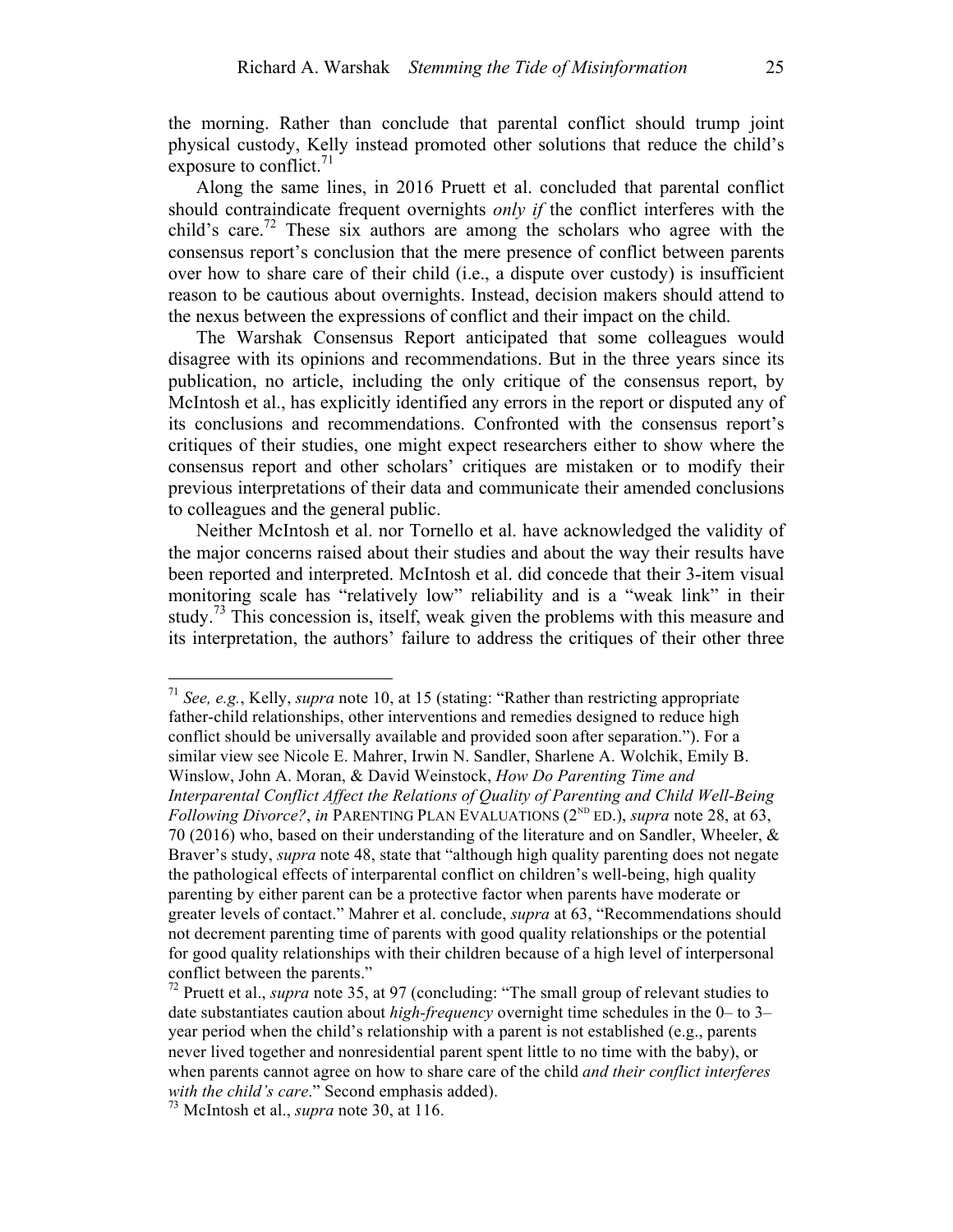the morning. Rather than conclude that parental conflict should trump joint physical custody, Kelly instead promoted other solutions that reduce the child's exposure to conflict.  $71$ 

Along the same lines, in 2016 Pruett et al. concluded that parental conflict should contraindicate frequent overnights *only if* the conflict interferes with the child's care.<sup>72</sup> These six authors are among the scholars who agree with the consensus report's conclusion that the mere presence of conflict between parents over how to share care of their child (i.e., a dispute over custody) is insufficient reason to be cautious about overnights. Instead, decision makers should attend to the nexus between the expressions of conflict and their impact on the child.

The Warshak Consensus Report anticipated that some colleagues would disagree with its opinions and recommendations. But in the three years since its publication, no article, including the only critique of the consensus report, by McIntosh et al., has explicitly identified any errors in the report or disputed any of its conclusions and recommendations. Confronted with the consensus report's critiques of their studies, one might expect researchers either to show where the consensus report and other scholars' critiques are mistaken or to modify their previous interpretations of their data and communicate their amended conclusions to colleagues and the general public.

Neither McIntosh et al. nor Tornello et al. have acknowledged the validity of the major concerns raised about their studies and about the way their results have been reported and interpreted. McIntosh et al. did concede that their 3-item visual monitoring scale has "relatively low" reliability and is a "weak link" in their study.<sup>73</sup> This concession is, itself, weak given the problems with this measure and its interpretation, the authors' failure to address the critiques of their other three

 <sup>71</sup> *See, e.g.*, Kelly, *supra* note 10, at 15 (stating: "Rather than restricting appropriate father-child relationships, other interventions and remedies designed to reduce high conflict should be universally available and provided soon after separation."). For a similar view see Nicole E. Mahrer, Irwin N. Sandler, Sharlene A. Wolchik, Emily B. Winslow, John A. Moran, & David Weinstock, *How Do Parenting Time and Interparental Conflict Affect the Relations of Quality of Parenting and Child Well-Being Following Divorce?, in PARENTING PLAN EVALUATIONS*  $(2^{ND}$  ED.), *supra* note 28, at 63, 70 (2016) who, based on their understanding of the literature and on Sandler, Wheeler, & Braver's study, *supra* note 48, state that "although high quality parenting does not negate the pathological effects of interparental conflict on children's well-being, high quality parenting by either parent can be a protective factor when parents have moderate or greater levels of contact." Mahrer et al. conclude, *supra* at 63, "Recommendations should not decrement parenting time of parents with good quality relationships or the potential for good quality relationships with their children because of a high level of interpersonal conflict between the parents."

<sup>72</sup> Pruett et al., *supra* note 35, at 97 (concluding: "The small group of relevant studies to date substantiates caution about *high-frequency* overnight time schedules in the 0– to 3– year period when the child's relationship with a parent is not established (e.g., parents never lived together and nonresidential parent spent little to no time with the baby), or when parents cannot agree on how to share care of the child *and their conflict interferes with the child's care*." Second emphasis added).

<sup>73</sup> McIntosh et al., *supra* note 30, at 116.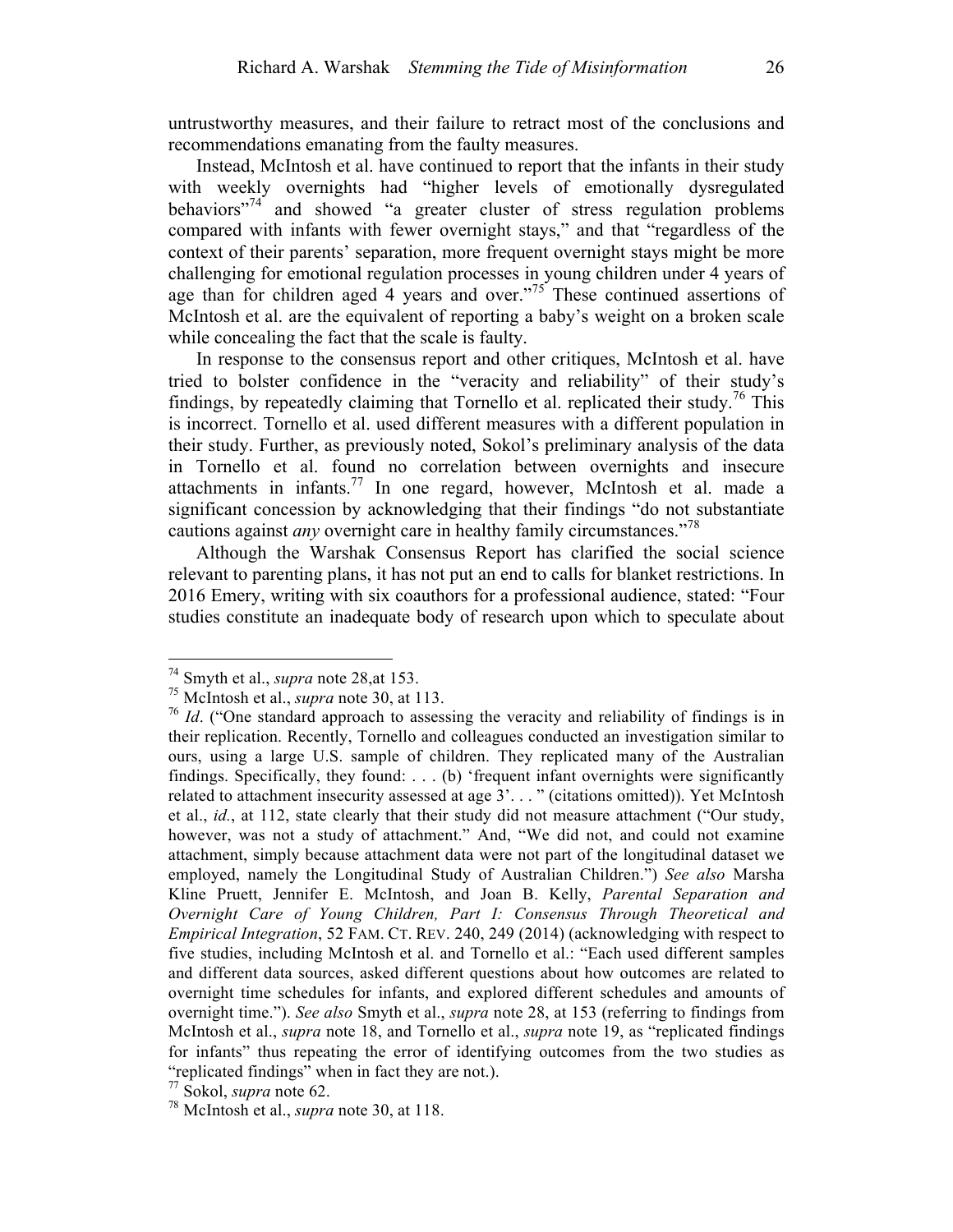untrustworthy measures, and their failure to retract most of the conclusions and recommendations emanating from the faulty measures.

Instead, McIntosh et al. have continued to report that the infants in their study with weekly overnights had "higher levels of emotionally dysregulated behaviors<sup>"74</sup> and showed "a greater cluster of stress regulation problems compared with infants with fewer overnight stays," and that "regardless of the context of their parents' separation, more frequent overnight stays might be more challenging for emotional regulation processes in young children under 4 years of age than for children aged 4 years and over."<sup>75'</sup> These continued assertions of McIntosh et al. are the equivalent of reporting a baby's weight on a broken scale while concealing the fact that the scale is faulty.

In response to the consensus report and other critiques, McIntosh et al. have tried to bolster confidence in the "veracity and reliability" of their study's findings, by repeatedly claiming that Tornello et al. replicated their study.<sup>76</sup> This is incorrect. Tornello et al. used different measures with a different population in their study. Further, as previously noted, Sokol's preliminary analysis of the data in Tornello et al. found no correlation between overnights and insecure attachments in infants.<sup>77</sup> In one regard, however, McIntosh et al. made a significant concession by acknowledging that their findings "do not substantiate cautions against *any* overnight care in healthy family circumstances."<sup>78</sup>

Although the Warshak Consensus Report has clarified the social science relevant to parenting plans, it has not put an end to calls for blanket restrictions. In 2016 Emery, writing with six coauthors for a professional audience, stated: "Four studies constitute an inadequate body of research upon which to speculate about

 <sup>74</sup> Smyth et al., *supra* note 28,at 153.

<sup>75</sup> McIntosh et al., *supra* note 30, at 113.

<sup>&</sup>lt;sup>76</sup> *Id.* ("One standard approach to assessing the veracity and reliability of findings is in their replication. Recently, Tornello and colleagues conducted an investigation similar to ours, using a large U.S. sample of children. They replicated many of the Australian findings. Specifically, they found:  $\dots$  (b) 'frequent infant overnights were significantly related to attachment insecurity assessed at age 3'. . . " (citations omitted)). Yet McIntosh et al., *id.*, at 112, state clearly that their study did not measure attachment ("Our study, however, was not a study of attachment." And, "We did not, and could not examine attachment, simply because attachment data were not part of the longitudinal dataset we employed, namely the Longitudinal Study of Australian Children.") *See also* Marsha Kline Pruett, Jennifer E. McIntosh, and Joan B. Kelly, *Parental Separation and Overnight Care of Young Children, Part I: Consensus Through Theoretical and Empirical Integration*, 52 FAM. CT. REV. 240, 249 (2014) (acknowledging with respect to five studies, including McIntosh et al. and Tornello et al.: "Each used different samples and different data sources, asked different questions about how outcomes are related to overnight time schedules for infants, and explored different schedules and amounts of overnight time."). *See also* Smyth et al., *supra* note 28, at 153 (referring to findings from McIntosh et al., *supra* note 18, and Tornello et al., *supra* note 19, as "replicated findings for infants" thus repeating the error of identifying outcomes from the two studies as "replicated findings" when in fact they are not.).  $^{77}$  Sokol, *supra* note 62.

<sup>&</sup>lt;sup>78</sup> McIntosh et al., *supra* note 30, at 118.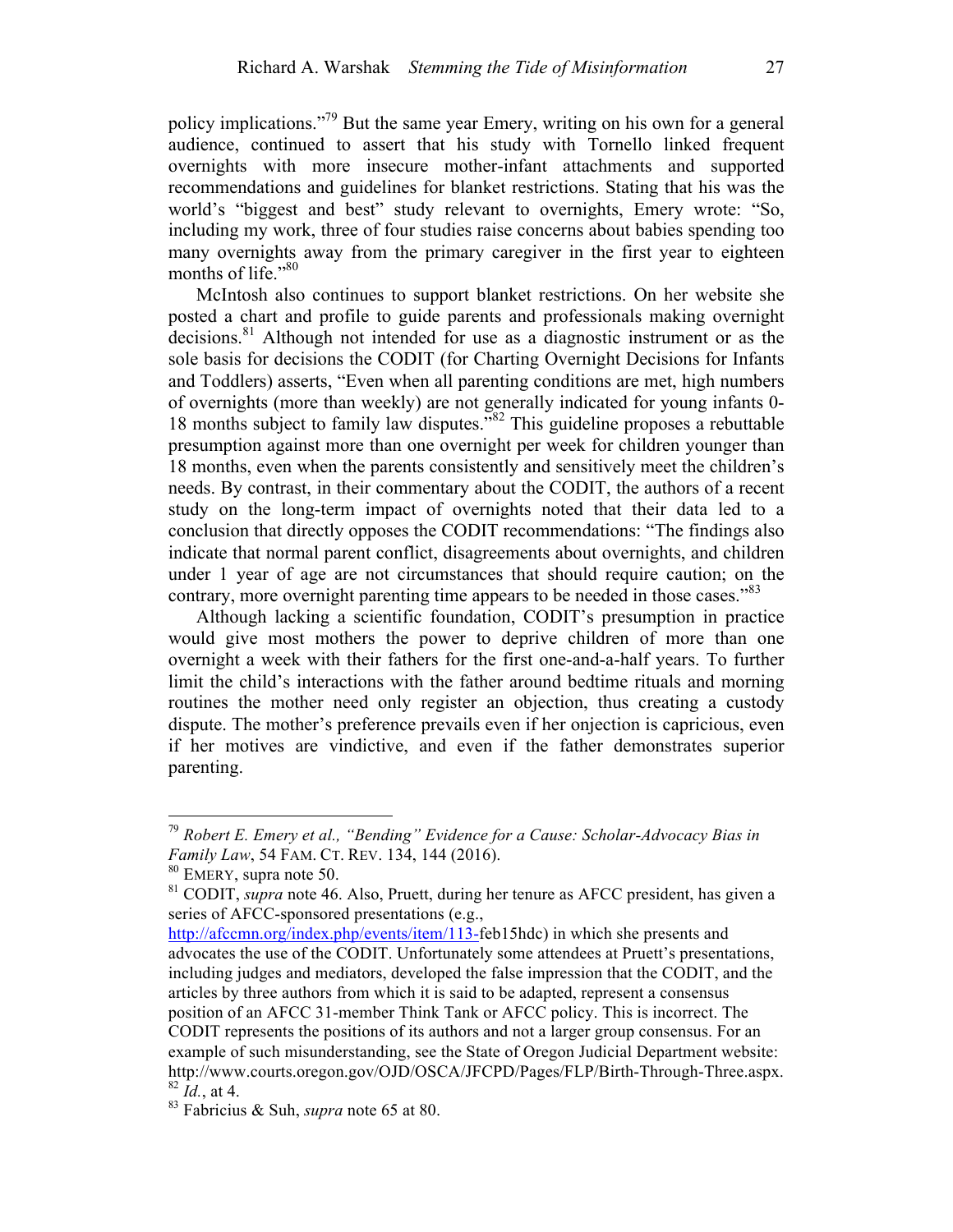policy implications."79 But the same year Emery, writing on his own for a general audience, continued to assert that his study with Tornello linked frequent overnights with more insecure mother-infant attachments and supported recommendations and guidelines for blanket restrictions. Stating that his was the world's "biggest and best" study relevant to overnights, Emery wrote: "So, including my work, three of four studies raise concerns about babies spending too many overnights away from the primary caregiver in the first year to eighteen months of life."80

McIntosh also continues to support blanket restrictions. On her website she posted a chart and profile to guide parents and professionals making overnight decisions.<sup>81</sup> Although not intended for use as a diagnostic instrument or as the sole basis for decisions the CODIT (for Charting Overnight Decisions for Infants and Toddlers) asserts, "Even when all parenting conditions are met, high numbers of overnights (more than weekly) are not generally indicated for young infants 0- 18 months subject to family law disputes.<sup>582</sup> This guideline proposes a rebuttable presumption against more than one overnight per week for children younger than 18 months, even when the parents consistently and sensitively meet the children's needs. By contrast, in their commentary about the CODIT, the authors of a recent study on the long-term impact of overnights noted that their data led to a conclusion that directly opposes the CODIT recommendations: "The findings also indicate that normal parent conflict, disagreements about overnights, and children under 1 year of age are not circumstances that should require caution; on the contrary, more overnight parenting time appears to be needed in those cases."<sup>83</sup>

Although lacking a scientific foundation, CODIT's presumption in practice would give most mothers the power to deprive children of more than one overnight a week with their fathers for the first one-and-a-half years. To further limit the child's interactions with the father around bedtime rituals and morning routines the mother need only register an objection, thus creating a custody dispute. The mother's preference prevails even if her onjection is capricious, even if her motives are vindictive, and even if the father demonstrates superior parenting.

http://afccmn.org/index.php/events/item/113-feb15hdc) in which she presents and advocates the use of the CODIT. Unfortunately some attendees at Pruett's presentations, including judges and mediators, developed the false impression that the CODIT, and the articles by three authors from which it is said to be adapted, represent a consensus position of an AFCC 31-member Think Tank or AFCC policy. This is incorrect. The CODIT represents the positions of its authors and not a larger group consensus. For an example of such misunderstanding, see the State of Oregon Judicial Department website: http://www.courts.oregon.gov/OJD/OSCA/JFCPD/Pages/FLP/Birth-Through-Three.aspx.<br><sup>82</sup> Id., at 4.

 <sup>79</sup> *Robert E. Emery et al., "Bending" Evidence for a Cause: Scholar-Advocacy Bias in Family Law*, 54 FAM. CT. REV. 134, 144 (2016).<br><sup>80</sup> EMERY, supra note 50.

<sup>&</sup>lt;sup>81</sup> CODIT, *supra* note 46. Also, Pruett, during her tenure as AFCC president, has given a series of AFCC-sponsored presentations (e.g.,

<sup>&</sup>lt;sup>83</sup> Fabricius & Suh, *supra* note 65 at 80.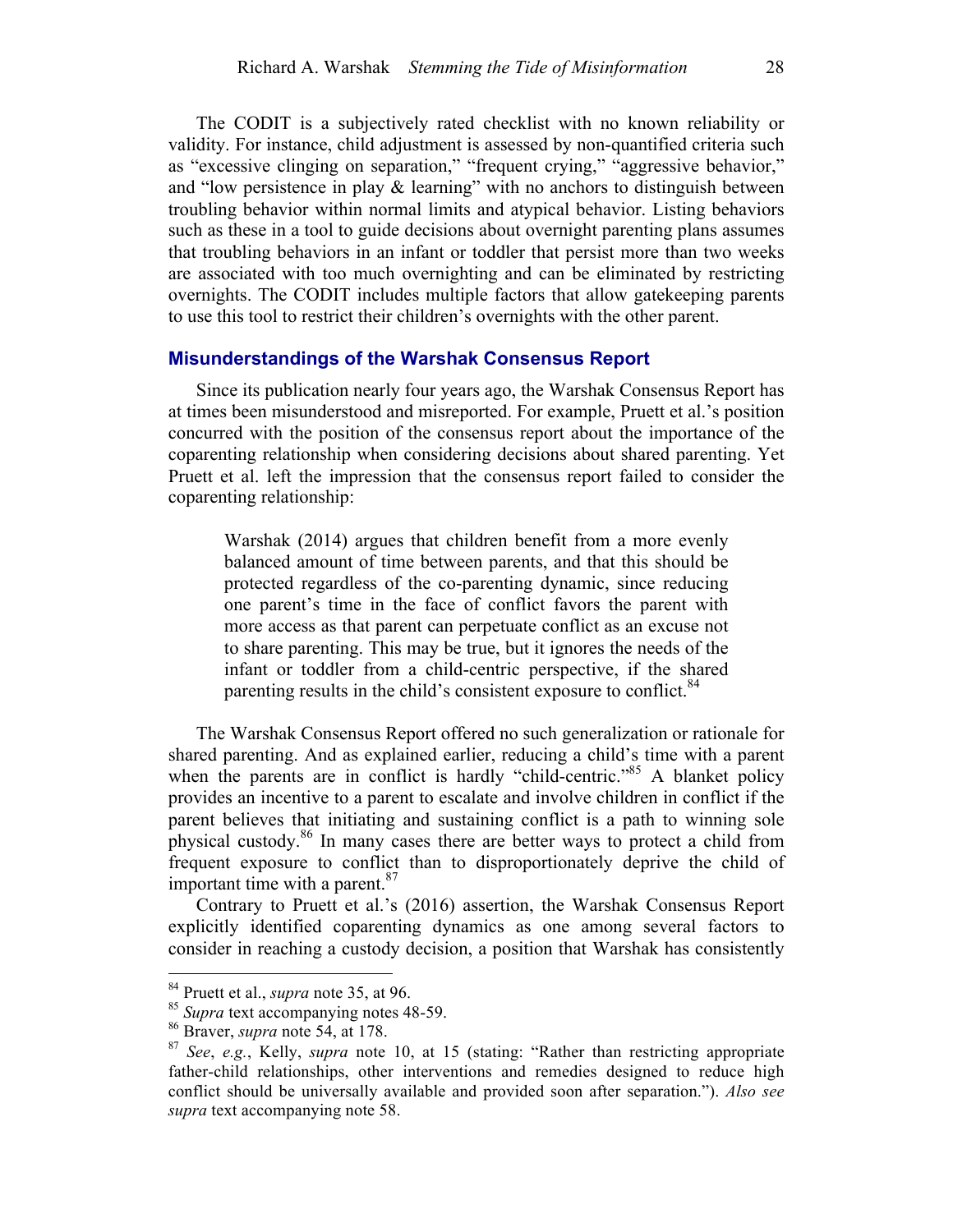The CODIT is a subjectively rated checklist with no known reliability or validity. For instance, child adjustment is assessed by non-quantified criteria such as "excessive clinging on separation," "frequent crying," "aggressive behavior," and "low persistence in play & learning" with no anchors to distinguish between troubling behavior within normal limits and atypical behavior. Listing behaviors such as these in a tool to guide decisions about overnight parenting plans assumes that troubling behaviors in an infant or toddler that persist more than two weeks are associated with too much overnighting and can be eliminated by restricting overnights. The CODIT includes multiple factors that allow gatekeeping parents to use this tool to restrict their children's overnights with the other parent.

#### **Misunderstandings of the Warshak Consensus Report**

Since its publication nearly four years ago, the Warshak Consensus Report has at times been misunderstood and misreported. For example, Pruett et al.'s position concurred with the position of the consensus report about the importance of the coparenting relationship when considering decisions about shared parenting. Yet Pruett et al. left the impression that the consensus report failed to consider the coparenting relationship:

Warshak (2014) argues that children benefit from a more evenly balanced amount of time between parents, and that this should be protected regardless of the co-parenting dynamic, since reducing one parent's time in the face of conflict favors the parent with more access as that parent can perpetuate conflict as an excuse not to share parenting. This may be true, but it ignores the needs of the infant or toddler from a child-centric perspective, if the shared parenting results in the child's consistent exposure to conflict.<sup>84</sup>

The Warshak Consensus Report offered no such generalization or rationale for shared parenting. And as explained earlier, reducing a child's time with a parent when the parents are in conflict is hardly "child-centric."<sup>85</sup> A blanket policy provides an incentive to a parent to escalate and involve children in conflict if the parent believes that initiating and sustaining conflict is a path to winning sole physical custody.<sup>86</sup> In many cases there are better ways to protect a child from frequent exposure to conflict than to disproportionately deprive the child of important time with a parent.<sup>87</sup>

Contrary to Pruett et al.'s (2016) assertion, the Warshak Consensus Report explicitly identified coparenting dynamics as one among several factors to consider in reaching a custody decision, a position that Warshak has consistently

<sup>&</sup>lt;sup>84</sup> Pruett et al., *supra* note 35, at 96.<br><sup>85</sup> *Supra* text accompanying notes 48-59.

<sup>&</sup>lt;sup>86</sup> Braver, *supra* note 54, at 178.

<sup>87</sup> *See*, *e.g.*, Kelly, *supra* note 10, at 15 (stating: "Rather than restricting appropriate father-child relationships, other interventions and remedies designed to reduce high conflict should be universally available and provided soon after separation."). *Also see supra* text accompanying note 58.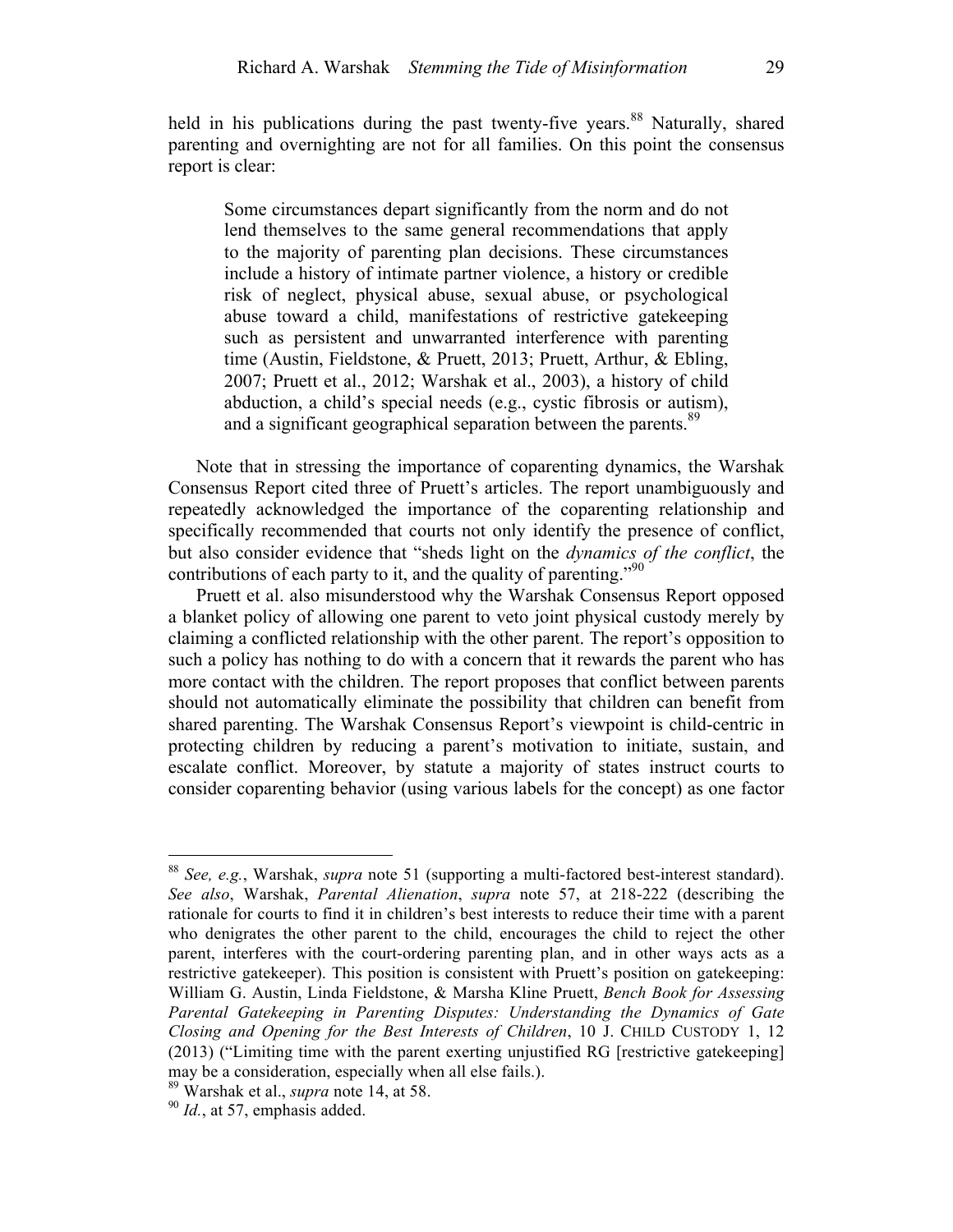held in his publications during the past twenty-five years.<sup>88</sup> Naturally, shared parenting and overnighting are not for all families. On this point the consensus report is clear:

Some circumstances depart significantly from the norm and do not lend themselves to the same general recommendations that apply to the majority of parenting plan decisions. These circumstances include a history of intimate partner violence, a history or credible risk of neglect, physical abuse, sexual abuse, or psychological abuse toward a child, manifestations of restrictive gatekeeping such as persistent and unwarranted interference with parenting time (Austin, Fieldstone, & Pruett, 2013; Pruett, Arthur, & Ebling, 2007; Pruett et al., 2012; Warshak et al., 2003), a history of child abduction, a child's special needs (e.g., cystic fibrosis or autism), and a significant geographical separation between the parents.<sup>89</sup>

Note that in stressing the importance of coparenting dynamics, the Warshak Consensus Report cited three of Pruett's articles. The report unambiguously and repeatedly acknowledged the importance of the coparenting relationship and specifically recommended that courts not only identify the presence of conflict, but also consider evidence that "sheds light on the *dynamics of the conflict*, the contributions of each party to it, and the quality of parenting." $^{90}$ 

Pruett et al. also misunderstood why the Warshak Consensus Report opposed a blanket policy of allowing one parent to veto joint physical custody merely by claiming a conflicted relationship with the other parent. The report's opposition to such a policy has nothing to do with a concern that it rewards the parent who has more contact with the children. The report proposes that conflict between parents should not automatically eliminate the possibility that children can benefit from shared parenting. The Warshak Consensus Report's viewpoint is child-centric in protecting children by reducing a parent's motivation to initiate, sustain, and escalate conflict. Moreover, by statute a majority of states instruct courts to consider coparenting behavior (using various labels for the concept) as one factor

 <sup>88</sup> *See, e.g.*, Warshak, *supra* note 51 (supporting a multi-factored best-interest standard). *See also*, Warshak, *Parental Alienation*, *supra* note 57, at 218-222 (describing the rationale for courts to find it in children's best interests to reduce their time with a parent who denigrates the other parent to the child, encourages the child to reject the other parent, interferes with the court-ordering parenting plan, and in other ways acts as a restrictive gatekeeper). This position is consistent with Pruett's position on gatekeeping: William G. Austin, Linda Fieldstone, & Marsha Kline Pruett, *Bench Book for Assessing Parental Gatekeeping in Parenting Disputes: Understanding the Dynamics of Gate Closing and Opening for the Best Interests of Children*, 10 J. CHILD CUSTODY 1, 12 (2013) ("Limiting time with the parent exerting unjustified RG [restrictive gatekeeping] may be a consideration, especially when all else fails.).

<sup>89</sup> Warshak et al., *supra* note 14, at 58.

<sup>&</sup>lt;sup>90</sup> *Id.*, at 57, emphasis added.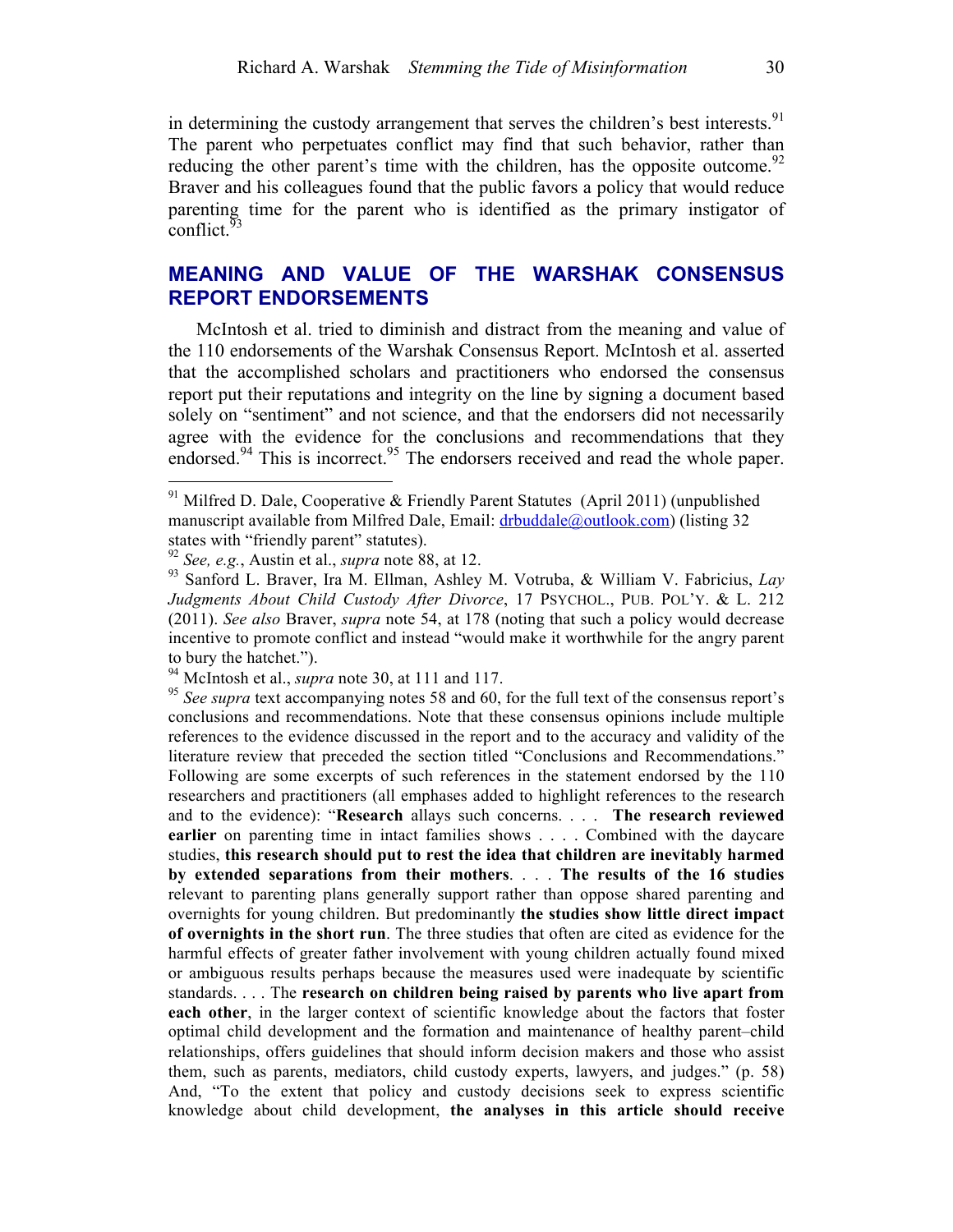in determining the custody arrangement that serves the children's best interests.<sup>91</sup> The parent who perpetuates conflict may find that such behavior, rather than reducing the other parent's time with the children, has the opposite outcome.<sup>92</sup> Braver and his colleagues found that the public favors a policy that would reduce parenting time for the parent who is identified as the primary instigator of conflict. $93$ 

# **MEANING AND VALUE OF THE WARSHAK CONSENSUS REPORT ENDORSEMENTS**

McIntosh et al. tried to diminish and distract from the meaning and value of the 110 endorsements of the Warshak Consensus Report. McIntosh et al. asserted that the accomplished scholars and practitioners who endorsed the consensus report put their reputations and integrity on the line by signing a document based solely on "sentiment" and not science, and that the endorsers did not necessarily agree with the evidence for the conclusions and recommendations that they endorsed.<sup>94</sup> This is incorrect.<sup>95</sup> The endorsers received and read the whole paper.

94 McIntosh et al., *supra* note 30, at 111 and 117.

<sup>95</sup> *See supra* text accompanying notes 58 and 60, for the full text of the consensus report's conclusions and recommendations. Note that these consensus opinions include multiple references to the evidence discussed in the report and to the accuracy and validity of the literature review that preceded the section titled "Conclusions and Recommendations." Following are some excerpts of such references in the statement endorsed by the 110 researchers and practitioners (all emphases added to highlight references to the research and to the evidence): "**Research** allays such concerns. . . . **The research reviewed earlier** on parenting time in intact families shows . . . . Combined with the daycare studies, **this research should put to rest the idea that children are inevitably harmed by extended separations from their mothers**. . . . **The results of the 16 studies**  relevant to parenting plans generally support rather than oppose shared parenting and overnights for young children. But predominantly **the studies show little direct impact of overnights in the short run**. The three studies that often are cited as evidence for the harmful effects of greater father involvement with young children actually found mixed or ambiguous results perhaps because the measures used were inadequate by scientific standards. . . . The **research on children being raised by parents who live apart from each other**, in the larger context of scientific knowledge about the factors that foster optimal child development and the formation and maintenance of healthy parent–child relationships, offers guidelines that should inform decision makers and those who assist them, such as parents, mediators, child custody experts, lawyers, and judges." (p. 58) And, "To the extent that policy and custody decisions seek to express scientific knowledge about child development, **the analyses in this article should receive** 

<sup>&</sup>lt;sup>91</sup> Milfred D. Dale, Cooperative & Friendly Parent Statutes (April 2011) (unpublished manuscript available from Milfred Dale, Email: drbuddale@outlook.com) (listing 32 states with "friendly parent" statutes). <sup>92</sup> *See, e.g.*, Austin et al., *supra* note 88, at 12.

<sup>93</sup> Sanford L. Braver, Ira M. Ellman, Ashley M. Votruba, & William V. Fabricius, *Lay Judgments About Child Custody After Divorce*, 17 PSYCHOL., PUB. POL'Y. & L. 212 (2011). *See also* Braver, *supra* note 54, at 178 (noting that such a policy would decrease incentive to promote conflict and instead "would make it worthwhile for the angry parent to bury the hatchet.").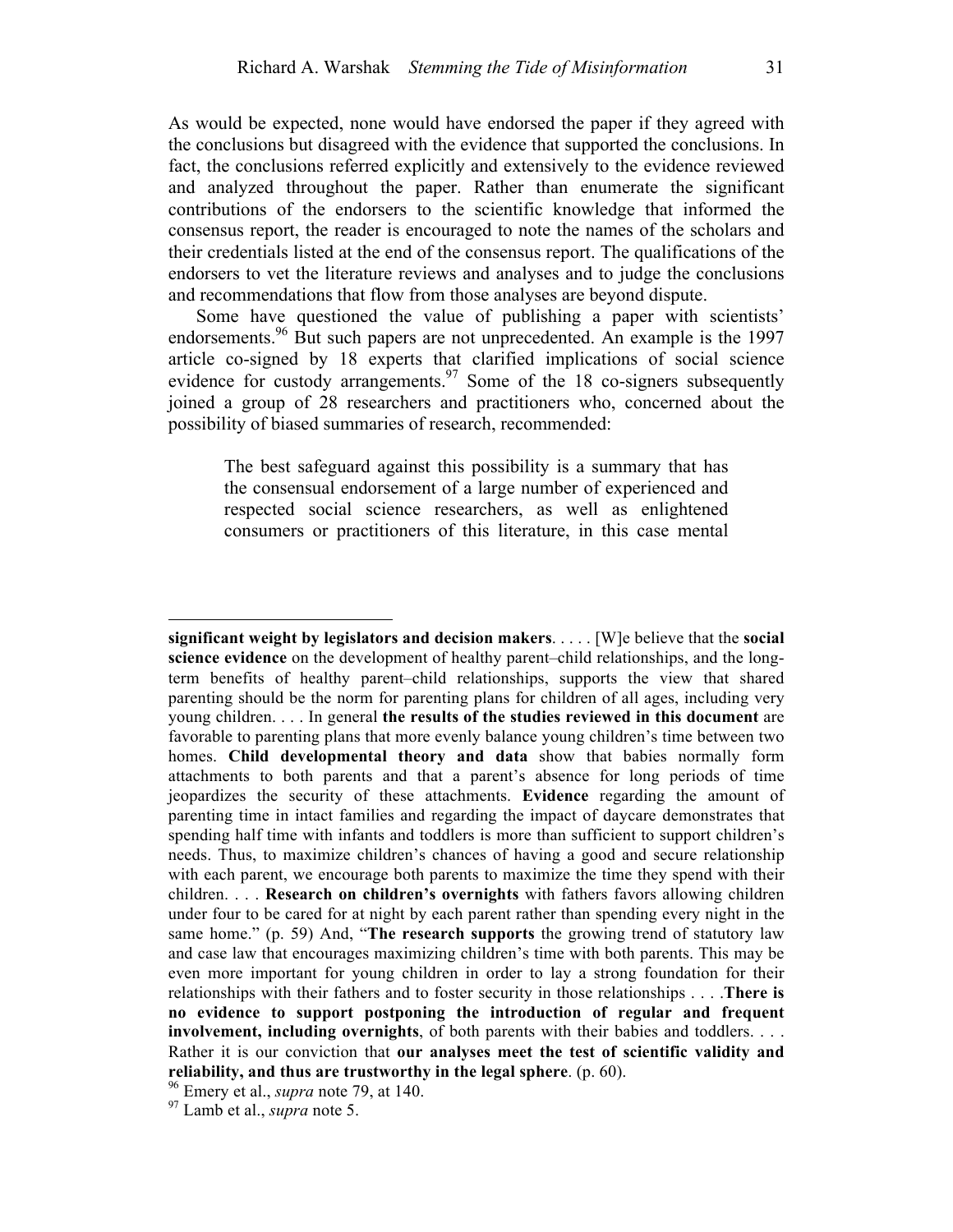As would be expected, none would have endorsed the paper if they agreed with the conclusions but disagreed with the evidence that supported the conclusions. In fact, the conclusions referred explicitly and extensively to the evidence reviewed and analyzed throughout the paper. Rather than enumerate the significant contributions of the endorsers to the scientific knowledge that informed the consensus report, the reader is encouraged to note the names of the scholars and their credentials listed at the end of the consensus report. The qualifications of the endorsers to vet the literature reviews and analyses and to judge the conclusions and recommendations that flow from those analyses are beyond dispute.

Some have questioned the value of publishing a paper with scientists' endorsements.<sup>96</sup> But such papers are not unprecedented. An example is the 1997 article co-signed by 18 experts that clarified implications of social science evidence for custody arrangements.<sup>97</sup> Some of the 18 co-signers subsequently joined a group of 28 researchers and practitioners who, concerned about the possibility of biased summaries of research, recommended:

The best safeguard against this possibility is a summary that has the consensual endorsement of a large number of experienced and respected social science researchers, as well as enlightened consumers or practitioners of this literature, in this case mental

 $\overline{a}$ 

**significant weight by legislators and decision makers**. . . . . [W]e believe that the **social science evidence** on the development of healthy parent–child relationships, and the longterm benefits of healthy parent–child relationships, supports the view that shared parenting should be the norm for parenting plans for children of all ages, including very young children. . . . In general **the results of the studies reviewed in this document** are favorable to parenting plans that more evenly balance young children's time between two homes. **Child developmental theory and data** show that babies normally form attachments to both parents and that a parent's absence for long periods of time jeopardizes the security of these attachments. **Evidence** regarding the amount of parenting time in intact families and regarding the impact of daycare demonstrates that spending half time with infants and toddlers is more than sufficient to support children's needs. Thus, to maximize children's chances of having a good and secure relationship with each parent, we encourage both parents to maximize the time they spend with their children. . . . **Research on children's overnights** with fathers favors allowing children under four to be cared for at night by each parent rather than spending every night in the same home." (p. 59) And, "**The research supports** the growing trend of statutory law and case law that encourages maximizing children's time with both parents. This may be even more important for young children in order to lay a strong foundation for their relationships with their fathers and to foster security in those relationships . . . .**There is no evidence to support postponing the introduction of regular and frequent involvement, including overnights**, of both parents with their babies and toddlers. . . . Rather it is our conviction that **our analyses meet the test of scientific validity and reliability, and thus are trustworthy in the legal sphere**. (p. 60).

<sup>96</sup> Emery et al., *supra* note 79, at 140.

<sup>97</sup> Lamb et al., *supra* note 5.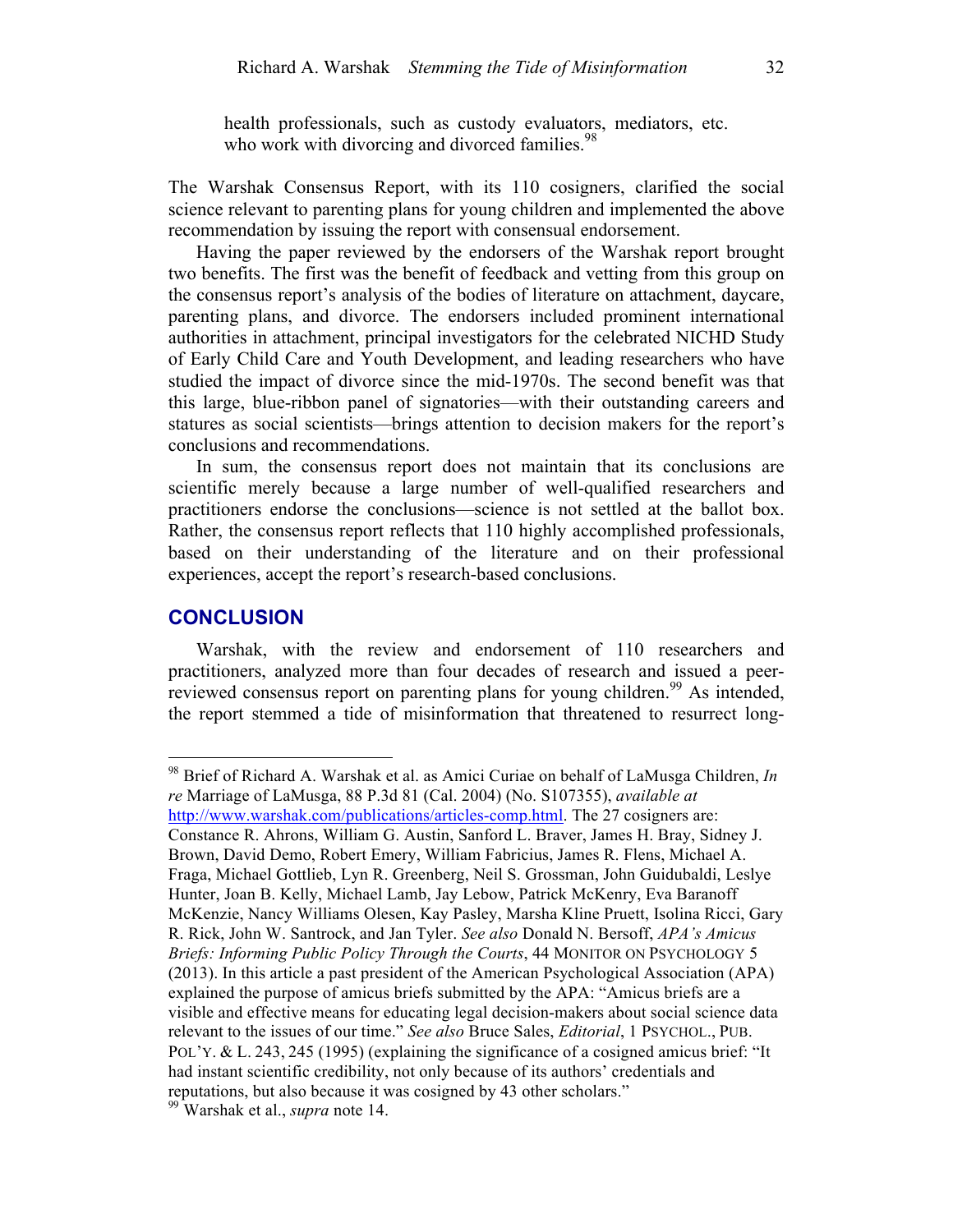health professionals, such as custody evaluators, mediators, etc. who work with divorcing and divorced families.<sup>98</sup>

The Warshak Consensus Report, with its 110 cosigners, clarified the social science relevant to parenting plans for young children and implemented the above recommendation by issuing the report with consensual endorsement.

Having the paper reviewed by the endorsers of the Warshak report brought two benefits. The first was the benefit of feedback and vetting from this group on the consensus report's analysis of the bodies of literature on attachment, daycare, parenting plans, and divorce. The endorsers included prominent international authorities in attachment, principal investigators for the celebrated NICHD Study of Early Child Care and Youth Development, and leading researchers who have studied the impact of divorce since the mid-1970s. The second benefit was that this large, blue-ribbon panel of signatories—with their outstanding careers and statures as social scientists—brings attention to decision makers for the report's conclusions and recommendations.

In sum, the consensus report does not maintain that its conclusions are scientific merely because a large number of well-qualified researchers and practitioners endorse the conclusions—science is not settled at the ballot box. Rather, the consensus report reflects that 110 highly accomplished professionals, based on their understanding of the literature and on their professional experiences, accept the report's research-based conclusions.

### **CONCLUSION**

Warshak, with the review and endorsement of 110 researchers and practitioners, analyzed more than four decades of research and issued a peerreviewed consensus report on parenting plans for young children.<sup>99</sup> As intended, the report stemmed a tide of misinformation that threatened to resurrect long-

 <sup>98</sup> Brief of Richard A. Warshak et al. as Amici Curiae on behalf of LaMusga Children, *In re* Marriage of LaMusga, 88 P.3d 81 (Cal. 2004) (No. S107355), *available at*

http://www.warshak.com/publications/articles-comp.html. The 27 cosigners are: Constance R. Ahrons, William G. Austin, Sanford L. Braver, James H. Bray, Sidney J. Brown, David Demo, Robert Emery, William Fabricius, James R. Flens, Michael A. Fraga, Michael Gottlieb, Lyn R. Greenberg, Neil S. Grossman, John Guidubaldi, Leslye Hunter, Joan B. Kelly, Michael Lamb, Jay Lebow, Patrick McKenry, Eva Baranoff McKenzie, Nancy Williams Olesen, Kay Pasley, Marsha Kline Pruett, Isolina Ricci, Gary R. Rick, John W. Santrock, and Jan Tyler. *See also* Donald N. Bersoff, *APA's Amicus Briefs: Informing Public Policy Through the Courts*, 44 MONITOR ON PSYCHOLOGY 5 (2013). In this article a past president of the American Psychological Association (APA) explained the purpose of amicus briefs submitted by the APA: "Amicus briefs are a visible and effective means for educating legal decision-makers about social science data relevant to the issues of our time." *See also* Bruce Sales, *Editorial*, 1 PSYCHOL., PUB. POL'Y. & L. 243, 245 (1995) (explaining the significance of a cosigned amicus brief: "It had instant scientific credibility, not only because of its authors' credentials and reputations, but also because it was cosigned by 43 other scholars."

<sup>99</sup> Warshak et al., *supra* note 14.